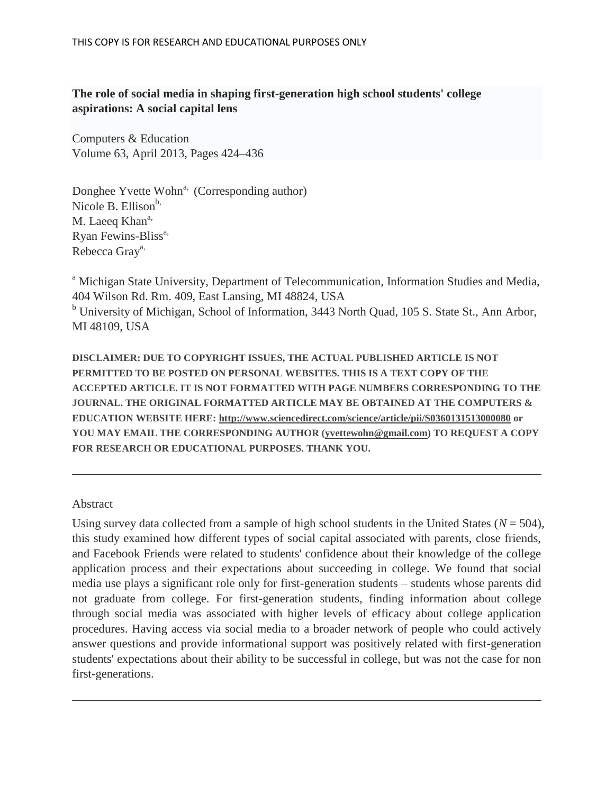**The role of social media in shaping first-generation high school students' college aspirations: A social capital lens**

Computers [& Education](http://www.sciencedirect.com/science/journal/03601315) [Volume 63,](http://www.sciencedirect.com/science/journal/03601315/63/supp/C) April 2013, Pages 424–436

[Donghee Yvette Wohn](http://www.sciencedirect.com/science/article/pii/S0360131513000080)<sup>[a,](http://www.sciencedirect.com/science/article/pii/S0360131513000080)</sup> (Corresponding author) [Nicole B. Ellison](http://www.sciencedirect.com/science/article/pii/S0360131513000080) $<sup>b</sup>$ ,</sup> [M. Laeeq Khan](http://www.sciencedirect.com/science/article/pii/S0360131513000080)<sup>[a,](http://www.sciencedirect.com/science/article/pii/S0360131513000080)</sup> [Ryan Fewins-Bliss](http://www.sciencedirect.com/science/article/pii/S0360131513000080)<sup>[a,](http://www.sciencedirect.com/science/article/pii/S0360131513000080)</sup> [Rebecca Gray](http://www.sciencedirect.com/science/article/pii/S0360131513000080)<sup>[a,](http://www.sciencedirect.com/science/article/pii/S0360131513000080)</sup>

<sup>a</sup> Michigan State University, Department of Telecommunication, Information Studies and Media, 404 Wilson Rd. Rm. 409, East Lansing, MI 48824, USA

<sup>b</sup> University of Michigan, School of Information, 3443 North Quad, 105 S. State St., Ann Arbor, MI 48109, USA

**DISCLAIMER: DUE TO COPYRIGHT ISSUES, THE ACTUAL PUBLISHED ARTICLE IS NOT PERMITTED TO BE POSTED ON PERSONAL WEBSITES. THIS IS A TEXT COPY OF THE ACCEPTED ARTICLE. IT IS NOT FORMATTED WITH PAGE NUMBERS CORRESPONDING TO THE JOURNAL. THE ORIGINAL FORMATTED ARTICLE MAY BE OBTAINED AT THE COMPUTERS & EDUCATION WEBSITE HERE:<http://www.sciencedirect.com/science/article/pii/S0360131513000080> or YOU MAY EMAIL THE CORRESPONDING AUTHOR [\(yvettewohn@gmail.com\)](mailto:yvettewohn@gmail.com) TO REQUEST A COPY FOR RESEARCH OR EDUCATIONAL PURPOSES. THANK YOU.**

#### Abstract

Using survey data collected from a sample of high school students in the United States ( $N = 504$ ), this study examined how different types of social capital associated with parents, close friends, and Facebook Friends were related to students' confidence about their knowledge of the college application process and their expectations about succeeding in college. We found that social media use plays a significant role only for first-generation students – students whose parents did not graduate from college. For first-generation students, finding information about college through social media was associated with higher levels of efficacy about college application procedures. Having access via social media to a broader network of people who could actively answer questions and provide informational support was positively related with first-generation students' expectations about their ability to be successful in college, but was not the case for non first-generations.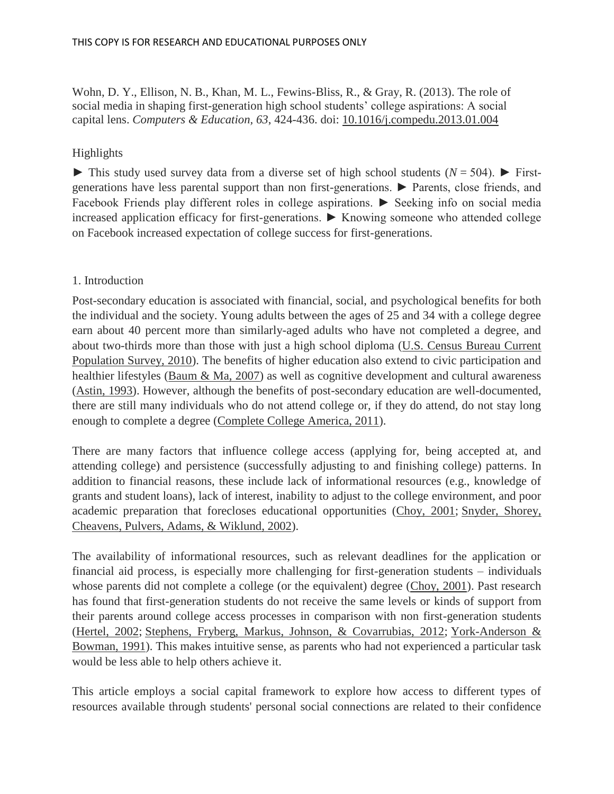Wohn, D. Y., Ellison, N. B., Khan, M. L., Fewins-Bliss, R., & Gray, R. (2013). The role of social media in shaping first-generation high school students' college aspirations: A social capital lens. *Computers & Education, 63*, 424-436. doi: [10.1016/j.compedu.2013.01.004](http://dx.doi.org/10.1016/j.compedu.2013.01.004)

## Highlights

 $\triangleright$  This study used survey data from a diverse set of high school students ( $N = 504$ ).  $\triangleright$  Firstgenerations have less parental support than non first-generations. ► Parents, close friends, and Facebook Friends play different roles in college aspirations. ► Seeking info on social media increased application efficacy for first-generations. ► Knowing someone who attended college on Facebook increased expectation of college success for first-generations.

### 1. Introduction

Post-secondary education is associated with financial, social, and psychological benefits for both the individual and the society. Young adults between the ages of 25 and 34 with a college degree earn about 40 percent more than similarly-aged adults who have not completed a degree, and about two-thirds more than those with just a high school diploma [\(U.S. Census Bureau Current](http://www.sciencedirect.com/science/article/pii/S0360131513000080#bib10)  [Population Survey, 2010\)](http://www.sciencedirect.com/science/article/pii/S0360131513000080#bib10). The benefits of higher education also extend to civic participation and healthier lifestyles [\(Baum & Ma, 2007\)](http://www.sciencedirect.com/science/article/pii/S0360131513000080#bib4) as well as cognitive development and cultural awareness [\(Astin, 1993\)](http://www.sciencedirect.com/science/article/pii/S0360131513000080#bib1). However, although the benefits of post-secondary education are well-documented, there are still many individuals who do not attend college or, if they do attend, do not stay long enough to complete a degree [\(Complete College America, 2011\)](http://www.sciencedirect.com/science/article/pii/S0360131513000080#bib13).

There are many factors that influence college access (applying for, being accepted at, and attending college) and persistence (successfully adjusting to and finishing college) patterns. In addition to financial reasons, these include lack of informational resources (e.g., knowledge of grants and student loans), lack of interest, inability to adjust to the college environment, and poor academic preparation that forecloses educational opportunities [\(Choy, 2001;](http://www.sciencedirect.com/science/article/pii/S0360131513000080#bib11) [Snyder, Shorey,](http://www.sciencedirect.com/science/article/pii/S0360131513000080#bib46)  [Cheavens, Pulvers, Adams, & Wiklund, 2002\)](http://www.sciencedirect.com/science/article/pii/S0360131513000080#bib46).

The availability of informational resources, such as relevant deadlines for the application or financial aid process, is especially more challenging for first-generation students – individuals whose parents did not complete a college (or the equivalent) degree [\(Choy, 2001\)](http://www.sciencedirect.com/science/article/pii/S0360131513000080#bib11). Past research has found that first-generation students do not receive the same levels or kinds of support from their parents around college access processes in comparison with non first-generation students [\(Hertel, 2002;](http://www.sciencedirect.com/science/article/pii/S0360131513000080#bib23) [Stephens, Fryberg, Markus, Johnson, & Covarrubias, 2012;](http://www.sciencedirect.com/science/article/pii/S0360131513000080#bib49) [York-Anderson &](http://www.sciencedirect.com/science/article/pii/S0360131513000080#bib54)  [Bowman, 1991\)](http://www.sciencedirect.com/science/article/pii/S0360131513000080#bib54). This makes intuitive sense, as parents who had not experienced a particular task would be less able to help others achieve it.

This article employs a social capital framework to explore how access to different types of resources available through students' personal social connections are related to their confidence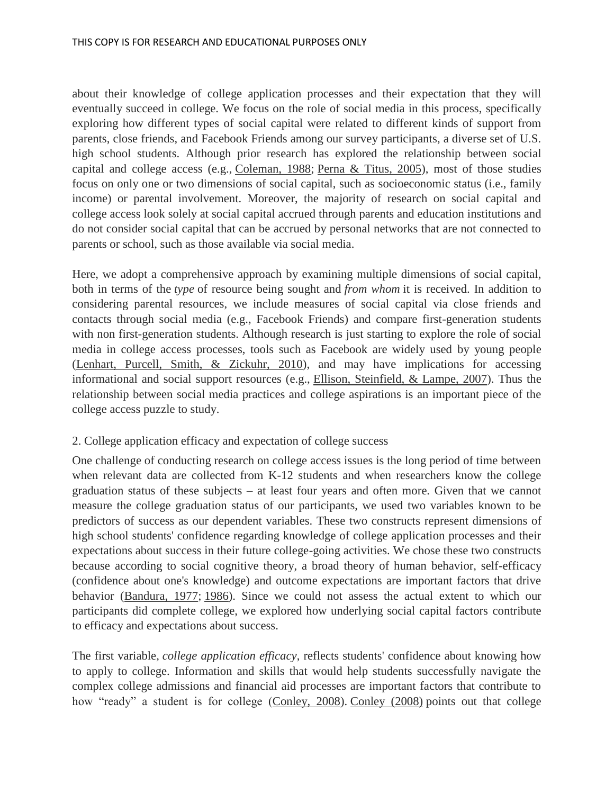about their knowledge of college application processes and their expectation that they will eventually succeed in college. We focus on the role of social media in this process, specifically exploring how different types of social capital were related to different kinds of support from parents, close friends, and Facebook Friends among our survey participants, a diverse set of U.S. high school students. Although prior research has explored the relationship between social capital and college access (e.g., [Coleman, 1988;](http://www.sciencedirect.com/science/article/pii/S0360131513000080#bib12) [Perna & Titus, 2005\)](http://www.sciencedirect.com/science/article/pii/S0360131513000080#bib40), most of those studies focus on only one or two dimensions of social capital, such as socioeconomic status (i.e., family income) or parental involvement. Moreover, the majority of research on social capital and college access look solely at social capital accrued through parents and education institutions and do not consider social capital that can be accrued by personal networks that are not connected to parents or school, such as those available via social media.

Here, we adopt a comprehensive approach by examining multiple dimensions of social capital, both in terms of the *type* of resource being sought and *from whom* it is received. In addition to considering parental resources, we include measures of social capital via close friends and contacts through social media (e.g., Facebook Friends) and compare first-generation students with non first-generation students. Although research is just starting to explore the role of social media in college access processes, tools such as Facebook are widely used by young people [\(Lenhart, Purcell, Smith, & Zickuhr, 2010\)](http://www.sciencedirect.com/science/article/pii/S0360131513000080#bib30), and may have implications for accessing informational and social support resources (e.g., [Ellison, Steinfield, & Lampe, 2007\)](http://www.sciencedirect.com/science/article/pii/S0360131513000080#bib17). Thus the relationship between social media practices and college aspirations is an important piece of the college access puzzle to study.

# 2. College application efficacy and expectation of college success

One challenge of conducting research on college access issues is the long period of time between when relevant data are collected from K-12 students and when researchers know the college graduation status of these subjects – at least four years and often more. Given that we cannot measure the college graduation status of our participants, we used two variables known to be predictors of success as our dependent variables. These two constructs represent dimensions of high school students' confidence regarding knowledge of college application processes and their expectations about success in their future college-going activities. We chose these two constructs because according to social cognitive theory, a broad theory of human behavior, self-efficacy (confidence about one's knowledge) and outcome expectations are important factors that drive behavior [\(Bandura, 1977;](http://www.sciencedirect.com/science/article/pii/S0360131513000080#bib2) [1986\)](http://www.sciencedirect.com/science/article/pii/S0360131513000080#bib3). Since we could not assess the actual extent to which our participants did complete college, we explored how underlying social capital factors contribute to efficacy and expectations about success.

The first variable, *college application efficacy*, reflects students' confidence about knowing how to apply to college. Information and skills that would help students successfully navigate the complex college admissions and financial aid processes are important factors that contribute to how "ready" a student is for college [\(Conley, 2008\)](http://www.sciencedirect.com/science/article/pii/S0360131513000080#bib14). [Conley \(2008\)](http://www.sciencedirect.com/science/article/pii/S0360131513000080#bib14) points out that college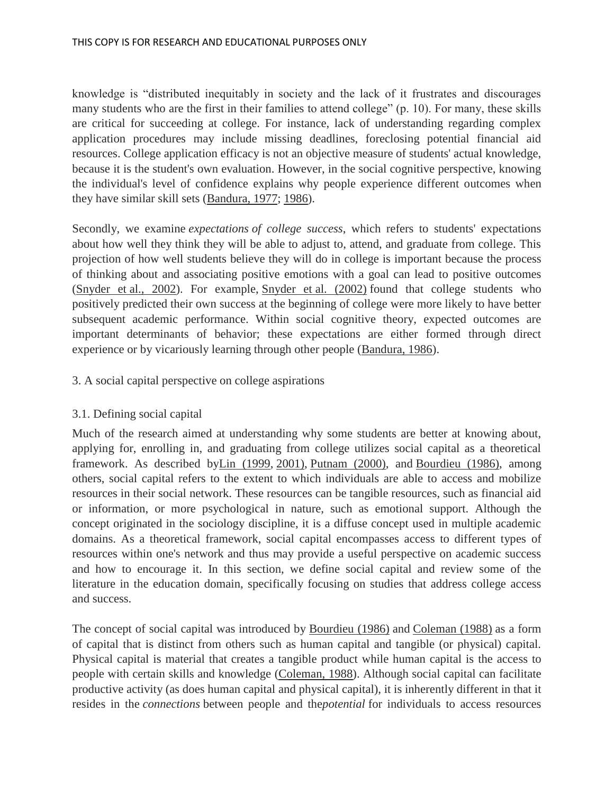knowledge is "distributed inequitably in society and the lack of it frustrates and discourages many students who are the first in their families to attend college" (p. 10). For many, these skills are critical for succeeding at college. For instance, lack of understanding regarding complex application procedures may include missing deadlines, foreclosing potential financial aid resources. College application efficacy is not an objective measure of students' actual knowledge, because it is the student's own evaluation. However, in the social cognitive perspective, knowing the individual's level of confidence explains why people experience different outcomes when they have similar skill sets [\(Bandura, 1977;](http://www.sciencedirect.com/science/article/pii/S0360131513000080#bib2) [1986\)](http://www.sciencedirect.com/science/article/pii/S0360131513000080#bib3).

Secondly, we examine *expectations of college success*, which refers to students' expectations about how well they think they will be able to adjust to, attend, and graduate from college. This projection of how well students believe they will do in college is important because the process of thinking about and associating positive emotions with a goal can lead to positive outcomes [\(Snyder et](http://www.sciencedirect.com/science/article/pii/S0360131513000080#bib46) al., 2002). For example, Snyder et [al. \(2002\)](http://www.sciencedirect.com/science/article/pii/S0360131513000080#bib46) found that college students who positively predicted their own success at the beginning of college were more likely to have better subsequent academic performance. Within social cognitive theory, expected outcomes are important determinants of behavior; these expectations are either formed through direct experience or by vicariously learning through other people [\(Bandura, 1986\)](http://www.sciencedirect.com/science/article/pii/S0360131513000080#bib3).

### 3. A social capital perspective on college aspirations

# 3.1. Defining social capital

Much of the research aimed at understanding why some students are better at knowing about, applying for, enrolling in, and graduating from college utilizes social capital as a theoretical framework. As described b[yLin \(1999,](http://www.sciencedirect.com/science/article/pii/S0360131513000080#bib31) [2001\),](http://www.sciencedirect.com/science/article/pii/S0360131513000080#bib32) [Putnam \(2000\),](http://www.sciencedirect.com/science/article/pii/S0360131513000080#bib41) and [Bourdieu \(1986\),](http://www.sciencedirect.com/science/article/pii/S0360131513000080#bib6) among others, social capital refers to the extent to which individuals are able to access and mobilize resources in their social network. These resources can be tangible resources, such as financial aid or information, or more psychological in nature, such as emotional support. Although the concept originated in the sociology discipline, it is a diffuse concept used in multiple academic domains. As a theoretical framework, social capital encompasses access to different types of resources within one's network and thus may provide a useful perspective on academic success and how to encourage it. In this section, we define social capital and review some of the literature in the education domain, specifically focusing on studies that address college access and success.

The concept of social capital was introduced by [Bourdieu \(1986\)](http://www.sciencedirect.com/science/article/pii/S0360131513000080#bib6) and [Coleman \(1988\)](http://www.sciencedirect.com/science/article/pii/S0360131513000080#bib12) as a form of capital that is distinct from others such as human capital and tangible (or physical) capital. Physical capital is material that creates a tangible product while human capital is the access to people with certain skills and knowledge [\(Coleman, 1988\)](http://www.sciencedirect.com/science/article/pii/S0360131513000080#bib12). Although social capital can facilitate productive activity (as does human capital and physical capital), it is inherently different in that it resides in the *connections* between people and the*potential* for individuals to access resources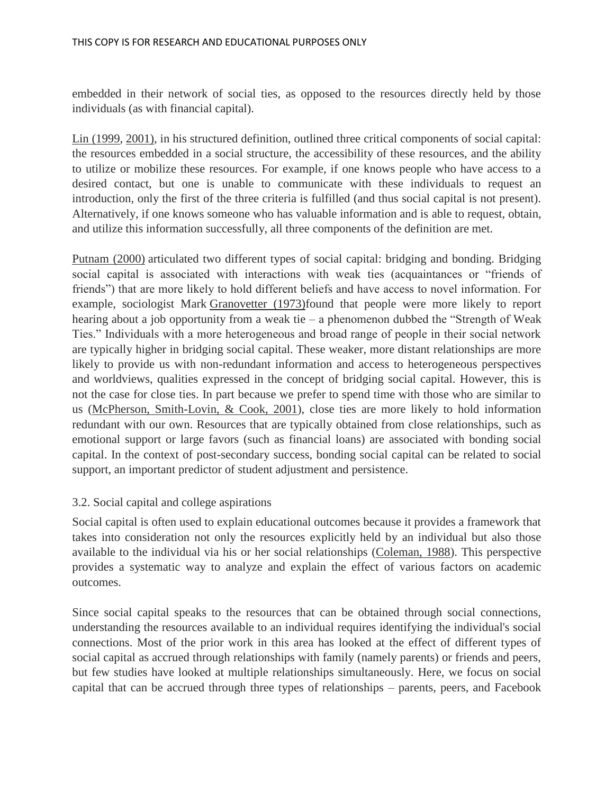embedded in their network of social ties, as opposed to the resources directly held by those individuals (as with financial capital).

[Lin \(1999,](http://www.sciencedirect.com/science/article/pii/S0360131513000080#bib31) [2001\),](http://www.sciencedirect.com/science/article/pii/S0360131513000080#bib32) in his structured definition, outlined three critical components of social capital: the resources embedded in a social structure, the accessibility of these resources, and the ability to utilize or mobilize these resources. For example, if one knows people who have access to a desired contact, but one is unable to communicate with these individuals to request an introduction, only the first of the three criteria is fulfilled (and thus social capital is not present). Alternatively, if one knows someone who has valuable information and is able to request, obtain, and utilize this information successfully, all three components of the definition are met.

[Putnam \(2000\)](http://www.sciencedirect.com/science/article/pii/S0360131513000080#bib41) articulated two different types of social capital: bridging and bonding. Bridging social capital is associated with interactions with weak ties (acquaintances or "friends of friends") that are more likely to hold different beliefs and have access to novel information. For example, sociologist Mark [Granovetter \(1973\)f](http://www.sciencedirect.com/science/article/pii/S0360131513000080#bib19)ound that people were more likely to report hearing about a job opportunity from a weak tie – a phenomenon dubbed the "Strength of Weak Ties." Individuals with a more heterogeneous and broad range of people in their social network are typically higher in bridging social capital. These weaker, more distant relationships are more likely to provide us with non-redundant information and access to heterogeneous perspectives and worldviews, qualities expressed in the concept of bridging social capital. However, this is not the case for close ties. In part because we prefer to spend time with those who are similar to us [\(McPherson, Smith-Lovin, & Cook, 2001\)](http://www.sciencedirect.com/science/article/pii/S0360131513000080#bib36), close ties are more likely to hold information redundant with our own. Resources that are typically obtained from close relationships, such as emotional support or large favors (such as financial loans) are associated with bonding social capital. In the context of post-secondary success, bonding social capital can be related to social support, an important predictor of student adjustment and persistence.

# 3.2. Social capital and college aspirations

Social capital is often used to explain educational outcomes because it provides a framework that takes into consideration not only the resources explicitly held by an individual but also those available to the individual via his or her social relationships [\(Coleman, 1988\)](http://www.sciencedirect.com/science/article/pii/S0360131513000080#bib12). This perspective provides a systematic way to analyze and explain the effect of various factors on academic outcomes.

Since social capital speaks to the resources that can be obtained through social connections, understanding the resources available to an individual requires identifying the individual's social connections. Most of the prior work in this area has looked at the effect of different types of social capital as accrued through relationships with family (namely parents) or friends and peers, but few studies have looked at multiple relationships simultaneously. Here, we focus on social capital that can be accrued through three types of relationships – parents, peers, and Facebook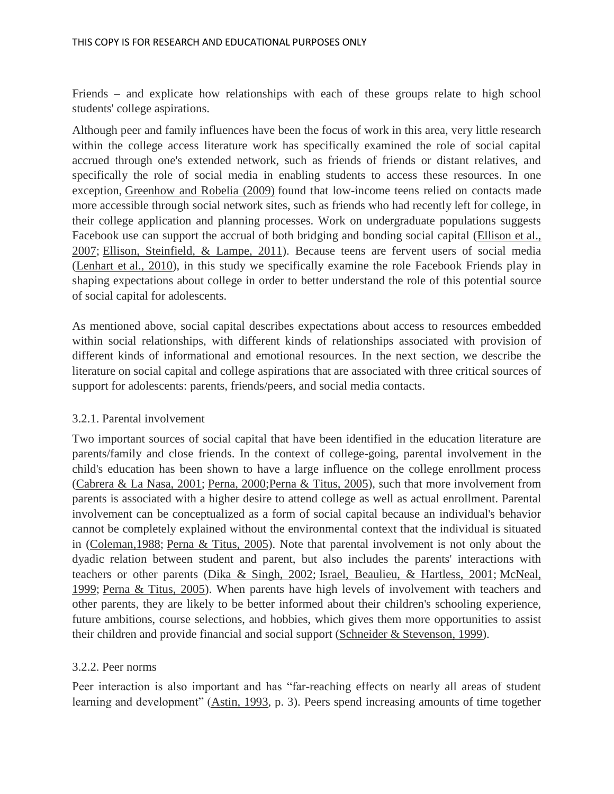Friends – and explicate how relationships with each of these groups relate to high school students' college aspirations.

Although peer and family influences have been the focus of work in this area, very little research within the college access literature work has specifically examined the role of social capital accrued through one's extended network, such as friends of friends or distant relatives, and specifically the role of social media in enabling students to access these resources. In one exception, [Greenhow and Robelia \(2009\)](http://www.sciencedirect.com/science/article/pii/S0360131513000080#bib22) found that low-income teens relied on contacts made more accessible through social network sites, such as friends who had recently left for college, in their college application and planning processes. Work on undergraduate populations suggests Facebook use can support the accrual of both bridging and bonding social capital [\(Ellison et](http://www.sciencedirect.com/science/article/pii/S0360131513000080#bib17) al., [2007;](http://www.sciencedirect.com/science/article/pii/S0360131513000080#bib17) [Ellison, Steinfield, & Lampe, 2011\)](http://www.sciencedirect.com/science/article/pii/S0360131513000080#bib18). Because teens are fervent users of social media [\(Lenhart et](http://www.sciencedirect.com/science/article/pii/S0360131513000080#bib30) al., 2010), in this study we specifically examine the role Facebook Friends play in shaping expectations about college in order to better understand the role of this potential source of social capital for adolescents.

As mentioned above, social capital describes expectations about access to resources embedded within social relationships, with different kinds of relationships associated with provision of different kinds of informational and emotional resources. In the next section, we describe the literature on social capital and college aspirations that are associated with three critical sources of support for adolescents: parents, friends/peers, and social media contacts.

# 3.2.1. Parental involvement

Two important sources of social capital that have been identified in the education literature are parents/family and close friends. In the context of college-going, parental involvement in the child's education has been shown to have a large influence on the college enrollment process [\(Cabrera & La](http://www.sciencedirect.com/science/article/pii/S0360131513000080#bib9) Nasa, 2001; [Perna, 2000](http://www.sciencedirect.com/science/article/pii/S0360131513000080#bib39)[;Perna & Titus, 2005\)](http://www.sciencedirect.com/science/article/pii/S0360131513000080#bib40), such that more involvement from parents is associated with a higher desire to attend college as well as actual enrollment. Parental involvement can be conceptualized as a form of social capital because an individual's behavior cannot be completely explained without the environmental context that the individual is situated in [\(Coleman,1988;](http://www.sciencedirect.com/science/article/pii/S0360131513000080#bib12) [Perna & Titus, 2005\)](http://www.sciencedirect.com/science/article/pii/S0360131513000080#bib40). Note that parental involvement is not only about the dyadic relation between student and parent, but also includes the parents' interactions with teachers or other parents [\(Dika & Singh, 2002;](http://www.sciencedirect.com/science/article/pii/S0360131513000080#bib16) [Israel, Beaulieu, & Hartless, 2001;](http://www.sciencedirect.com/science/article/pii/S0360131513000080#bib26) [McNeal,](http://www.sciencedirect.com/science/article/pii/S0360131513000080#bib35)  [1999;](http://www.sciencedirect.com/science/article/pii/S0360131513000080#bib35) [Perna & Titus, 2005\)](http://www.sciencedirect.com/science/article/pii/S0360131513000080#bib40). When parents have high levels of involvement with teachers and other parents, they are likely to be better informed about their children's schooling experience, future ambitions, course selections, and hobbies, which gives them more opportunities to assist their children and provide financial and social support [\(Schneider & Stevenson, 1999\)](http://www.sciencedirect.com/science/article/pii/S0360131513000080#bib44).

# 3.2.2. Peer norms

Peer interaction is also important and has "far-reaching effects on nearly all areas of student learning and development" [\(Astin, 1993,](http://www.sciencedirect.com/science/article/pii/S0360131513000080#bib1) p. 3). Peers spend increasing amounts of time together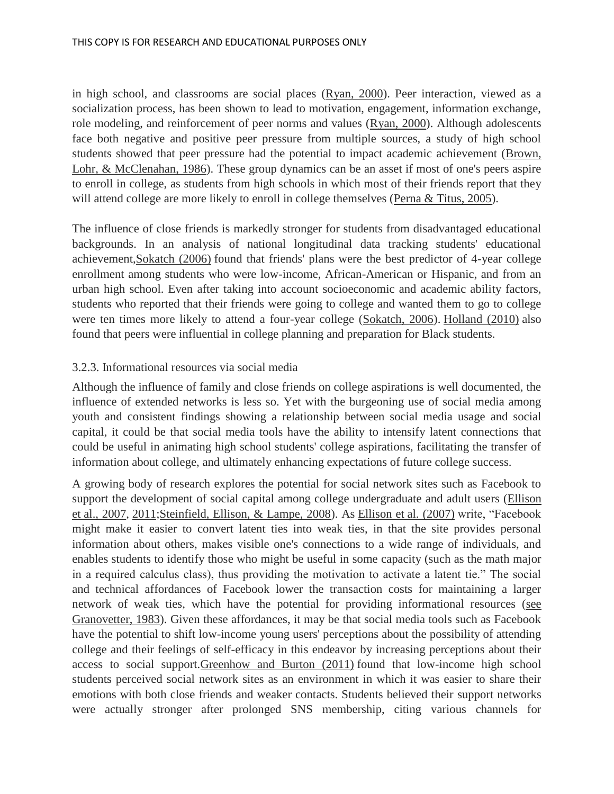in high school, and classrooms are social places [\(Ryan, 2000\)](http://www.sciencedirect.com/science/article/pii/S0360131513000080#bib43). Peer interaction, viewed as a socialization process, has been shown to lead to motivation, engagement, information exchange, role modeling, and reinforcement of peer norms and values [\(Ryan, 2000\)](http://www.sciencedirect.com/science/article/pii/S0360131513000080#bib43). Although adolescents face both negative and positive peer pressure from multiple sources, a study of high school students showed that peer pressure had the potential to impact academic achievement [\(Brown,](http://www.sciencedirect.com/science/article/pii/S0360131513000080#bib7)  [Lohr, & McClenahan, 1986\)](http://www.sciencedirect.com/science/article/pii/S0360131513000080#bib7). These group dynamics can be an asset if most of one's peers aspire to enroll in college, as students from high schools in which most of their friends report that they will attend college are more likely to enroll in college themselves [\(Perna & Titus, 2005\)](http://www.sciencedirect.com/science/article/pii/S0360131513000080#bib40).

The influence of close friends is markedly stronger for students from disadvantaged educational backgrounds. In an analysis of national longitudinal data tracking students' educational achievement[,Sokatch \(2006\)](http://www.sciencedirect.com/science/article/pii/S0360131513000080#bib47) found that friends' plans were the best predictor of 4-year college enrollment among students who were low-income, African-American or Hispanic, and from an urban high school. Even after taking into account socioeconomic and academic ability factors, students who reported that their friends were going to college and wanted them to go to college were ten times more likely to attend a four-year college [\(Sokatch, 2006\)](http://www.sciencedirect.com/science/article/pii/S0360131513000080#bib47). [Holland \(2010\)](http://www.sciencedirect.com/science/article/pii/S0360131513000080#bib24) also found that peers were influential in college planning and preparation for Black students.

# 3.2.3. Informational resources via social media

Although the influence of family and close friends on college aspirations is well documented, the influence of extended networks is less so. Yet with the burgeoning use of social media among youth and consistent findings showing a relationship between social media usage and social capital, it could be that social media tools have the ability to intensify latent connections that could be useful in animating high school students' college aspirations, facilitating the transfer of information about college, and ultimately enhancing expectations of future college success.

A growing body of research explores the potential for social network sites such as Facebook to support the development of social capital among college undergraduate and adult users (Ellison et [al., 2007,](http://www.sciencedirect.com/science/article/pii/S0360131513000080#bib17) [2011](http://www.sciencedirect.com/science/article/pii/S0360131513000080#bib18)[;Steinfield, Ellison, & Lampe, 2008\)](http://www.sciencedirect.com/science/article/pii/S0360131513000080#bib48). As Ellison et [al. \(2007\)](http://www.sciencedirect.com/science/article/pii/S0360131513000080#bib17) write, "Facebook might make it easier to convert latent ties into weak ties, in that the site provides personal information about others, makes visible one's connections to a wide range of individuals, and enables students to identify those who might be useful in some capacity (such as the math major in a required calculus class), thus providing the motivation to activate a latent tie." The social and technical affordances of Facebook lower the transaction costs for maintaining a larger network of weak ties, which have the potential for providing informational resources [\(see](http://www.sciencedirect.com/science/article/pii/S0360131513000080#bib20)  [Granovetter, 1983\)](http://www.sciencedirect.com/science/article/pii/S0360131513000080#bib20). Given these affordances, it may be that social media tools such as Facebook have the potential to shift low-income young users' perceptions about the possibility of attending college and their feelings of self-efficacy in this endeavor by increasing perceptions about their access to social support[.Greenhow and Burton \(2011\)](http://www.sciencedirect.com/science/article/pii/S0360131513000080#bib21) found that low-income high school students perceived social network sites as an environment in which it was easier to share their emotions with both close friends and weaker contacts. Students believed their support networks were actually stronger after prolonged SNS membership, citing various channels for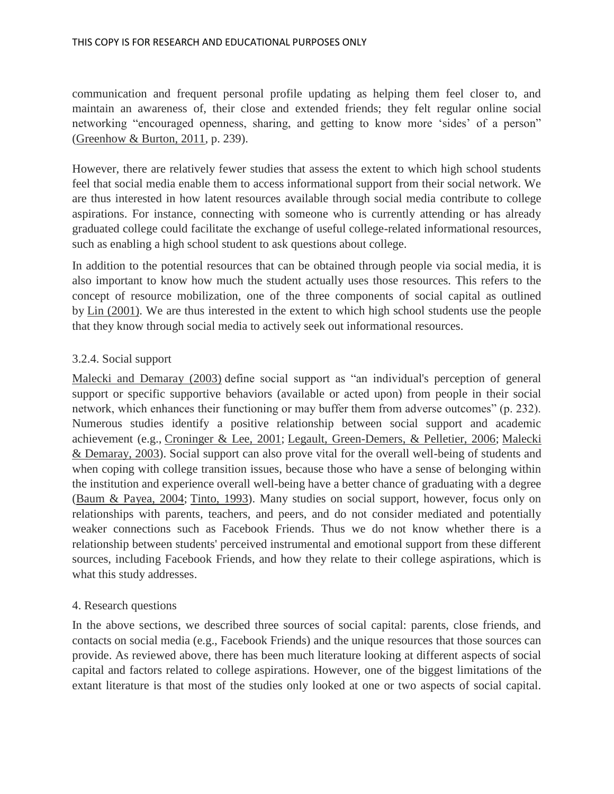communication and frequent personal profile updating as helping them feel closer to, and maintain an awareness of, their close and extended friends; they felt regular online social networking "encouraged openness, sharing, and getting to know more 'sides' of a person" [\(Greenhow & Burton, 2011,](http://www.sciencedirect.com/science/article/pii/S0360131513000080#bib21) p. 239).

However, there are relatively fewer studies that assess the extent to which high school students feel that social media enable them to access informational support from their social network. We are thus interested in how latent resources available through social media contribute to college aspirations. For instance, connecting with someone who is currently attending or has already graduated college could facilitate the exchange of useful college-related informational resources, such as enabling a high school student to ask questions about college.

In addition to the potential resources that can be obtained through people via social media, it is also important to know how much the student actually uses those resources. This refers to the concept of resource mobilization, one of the three components of social capital as outlined by [Lin \(2001\).](http://www.sciencedirect.com/science/article/pii/S0360131513000080#bib32) We are thus interested in the extent to which high school students use the people that they know through social media to actively seek out informational resources.

### 3.2.4. Social support

[Malecki and Demaray \(2003\)](http://www.sciencedirect.com/science/article/pii/S0360131513000080#bib33) define social support as "an individual's perception of general support or specific supportive behaviors (available or acted upon) from people in their social network, which enhances their functioning or may buffer them from adverse outcomes" (p. 232). Numerous studies identify a positive relationship between social support and academic achievement (e.g., [Croninger & Lee, 2001;](http://www.sciencedirect.com/science/article/pii/S0360131513000080#bib15) [Legault, Green-Demers, & Pelletier, 2006;](http://www.sciencedirect.com/science/article/pii/S0360131513000080#bib29) [Malecki](http://www.sciencedirect.com/science/article/pii/S0360131513000080#bib33)  [& Demaray, 2003\)](http://www.sciencedirect.com/science/article/pii/S0360131513000080#bib33). Social support can also prove vital for the overall well-being of students and when coping with college transition issues, because those who have a sense of belonging within the institution and experience overall well-being have a better chance of graduating with a degree [\(Baum & Payea, 2004;](http://www.sciencedirect.com/science/article/pii/S0360131513000080#bib5) [Tinto, 1993\)](http://www.sciencedirect.com/science/article/pii/S0360131513000080#bib52). Many studies on social support, however, focus only on relationships with parents, teachers, and peers, and do not consider mediated and potentially weaker connections such as Facebook Friends. Thus we do not know whether there is a relationship between students' perceived instrumental and emotional support from these different sources, including Facebook Friends, and how they relate to their college aspirations, which is what this study addresses.

#### 4. Research questions

In the above sections, we described three sources of social capital: parents, close friends, and contacts on social media (e.g., Facebook Friends) and the unique resources that those sources can provide. As reviewed above, there has been much literature looking at different aspects of social capital and factors related to college aspirations. However, one of the biggest limitations of the extant literature is that most of the studies only looked at one or two aspects of social capital.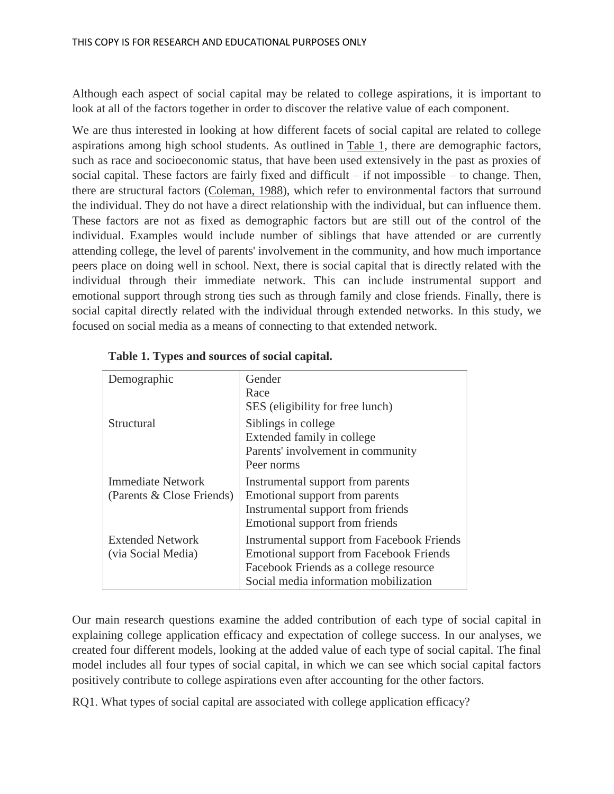Although each aspect of social capital may be related to college aspirations, it is important to look at all of the factors together in order to discover the relative value of each component.

We are thus interested in looking at how different facets of social capital are related to college aspirations among high school students. As outlined in [Table 1,](http://www.sciencedirect.com/science/article/pii/S0360131513000080#tbl1) there are demographic factors, such as race and socioeconomic status, that have been used extensively in the past as proxies of social capital. These factors are fairly fixed and difficult – if not impossible – to change. Then, there are structural factors [\(Coleman, 1988\)](http://www.sciencedirect.com/science/article/pii/S0360131513000080#bib12), which refer to environmental factors that surround the individual. They do not have a direct relationship with the individual, but can influence them. These factors are not as fixed as demographic factors but are still out of the control of the individual. Examples would include number of siblings that have attended or are currently attending college, the level of parents' involvement in the community, and how much importance peers place on doing well in school. Next, there is social capital that is directly related with the individual through their immediate network. This can include instrumental support and emotional support through strong ties such as through family and close friends. Finally, there is social capital directly related with the individual through extended networks. In this study, we focused on social media as a means of connecting to that extended network.

| Demographic                                           | Gender<br>Race<br>SES (eligibility for free lunch)                                                                                                                                     |
|-------------------------------------------------------|----------------------------------------------------------------------------------------------------------------------------------------------------------------------------------------|
| Structural                                            | Siblings in college<br>Extended family in college<br>Parents' involvement in community<br>Peer norms                                                                                   |
| <b>Immediate Network</b><br>(Parents & Close Friends) | Instrumental support from parents<br>Emotional support from parents<br>Instrumental support from friends<br>Emotional support from friends                                             |
| <b>Extended Network</b><br>(via Social Media)         | <b>Instrumental support from Facebook Friends</b><br><b>Emotional support from Facebook Friends</b><br>Facebook Friends as a college resource<br>Social media information mobilization |

| Table 1. Types and sources of social capital. |  |  |  |  |  |  |  |
|-----------------------------------------------|--|--|--|--|--|--|--|
|-----------------------------------------------|--|--|--|--|--|--|--|

Our main research questions examine the added contribution of each type of social capital in explaining college application efficacy and expectation of college success. In our analyses, we created four different models, looking at the added value of each type of social capital. The final model includes all four types of social capital, in which we can see which social capital factors positively contribute to college aspirations even after accounting for the other factors.

RQ1. What types of social capital are associated with college application efficacy?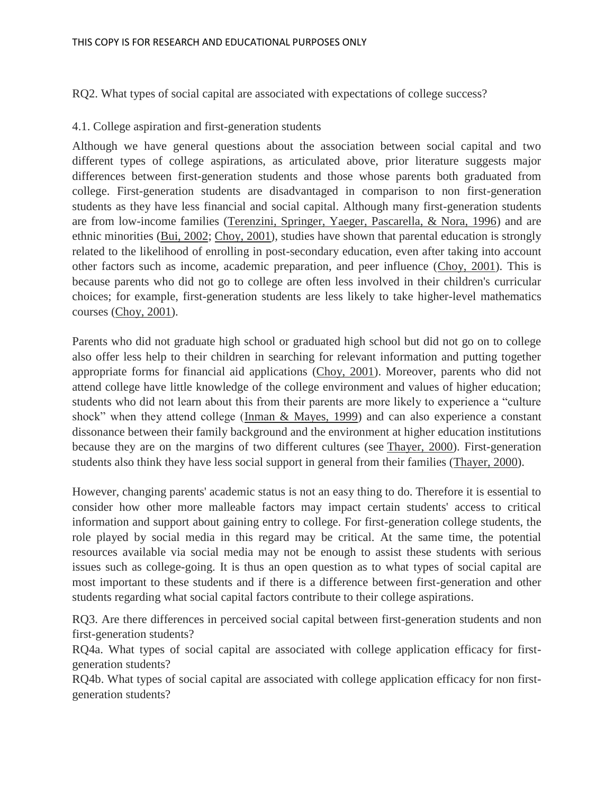RQ2. What types of social capital are associated with expectations of college success?

## 4.1. College aspiration and first-generation students

Although we have general questions about the association between social capital and two different types of college aspirations, as articulated above, prior literature suggests major differences between first-generation students and those whose parents both graduated from college. First-generation students are disadvantaged in comparison to non first-generation students as they have less financial and social capital. Although many first-generation students are from low-income families [\(Terenzini, Springer, Yaeger, Pascarella, & Nora, 1996\)](http://www.sciencedirect.com/science/article/pii/S0360131513000080#bib50) and are ethnic minorities [\(Bui, 2002;](http://www.sciencedirect.com/science/article/pii/S0360131513000080#bib8) [Choy, 2001\)](http://www.sciencedirect.com/science/article/pii/S0360131513000080#bib11), studies have shown that parental education is strongly related to the likelihood of enrolling in post-secondary education, even after taking into account other factors such as income, academic preparation, and peer influence [\(Choy, 2001\)](http://www.sciencedirect.com/science/article/pii/S0360131513000080#bib11). This is because parents who did not go to college are often less involved in their children's curricular choices; for example, first-generation students are less likely to take higher-level mathematics courses [\(Choy, 2001\)](http://www.sciencedirect.com/science/article/pii/S0360131513000080#bib11).

Parents who did not graduate high school or graduated high school but did not go on to college also offer less help to their children in searching for relevant information and putting together appropriate forms for financial aid applications [\(Choy, 2001\)](http://www.sciencedirect.com/science/article/pii/S0360131513000080#bib11). Moreover, parents who did not attend college have little knowledge of the college environment and values of higher education; students who did not learn about this from their parents are more likely to experience a "culture shock" when they attend college [\(Inman & Mayes, 1999\)](http://www.sciencedirect.com/science/article/pii/S0360131513000080#bib25) and can also experience a constant dissonance between their family background and the environment at higher education institutions because they are on the margins of two different cultures (see [Thayer, 2000\)](http://www.sciencedirect.com/science/article/pii/S0360131513000080#bib51). First-generation students also think they have less social support in general from their families [\(Thayer, 2000\)](http://www.sciencedirect.com/science/article/pii/S0360131513000080#bib51).

However, changing parents' academic status is not an easy thing to do. Therefore it is essential to consider how other more malleable factors may impact certain students' access to critical information and support about gaining entry to college. For first-generation college students, the role played by social media in this regard may be critical. At the same time, the potential resources available via social media may not be enough to assist these students with serious issues such as college-going. It is thus an open question as to what types of social capital are most important to these students and if there is a difference between first-generation and other students regarding what social capital factors contribute to their college aspirations.

RQ3. Are there differences in perceived social capital between first-generation students and non first-generation students?

RQ4a. What types of social capital are associated with college application efficacy for firstgeneration students?

RQ4b. What types of social capital are associated with college application efficacy for non firstgeneration students?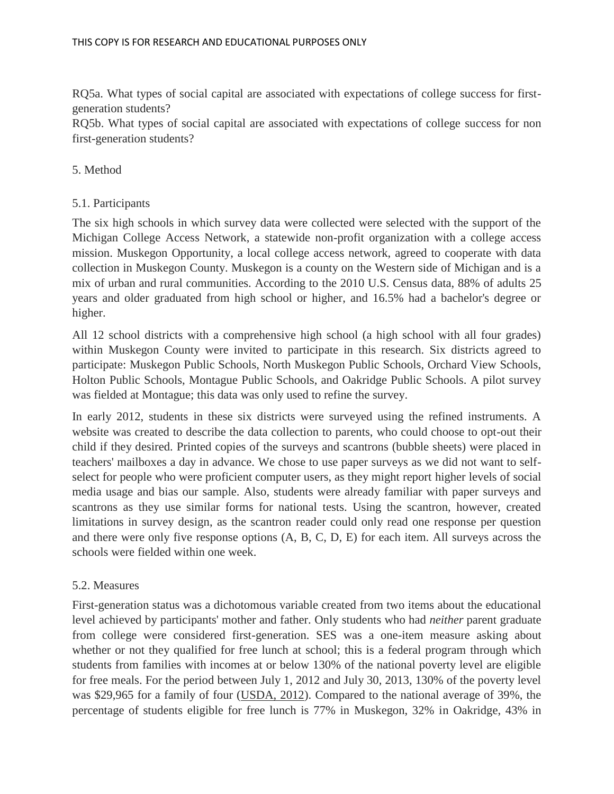RQ5a. What types of social capital are associated with expectations of college success for firstgeneration students?

RQ5b. What types of social capital are associated with expectations of college success for non first-generation students?

## 5. Method

## 5.1. Participants

The six high schools in which survey data were collected were selected with the support of the Michigan College Access Network, a statewide non-profit organization with a college access mission. Muskegon Opportunity, a local college access network, agreed to cooperate with data collection in Muskegon County. Muskegon is a county on the Western side of Michigan and is a mix of urban and rural communities. According to the 2010 U.S. Census data, 88% of adults 25 years and older graduated from high school or higher, and 16.5% had a bachelor's degree or higher.

All 12 school districts with a comprehensive high school (a high school with all four grades) within Muskegon County were invited to participate in this research. Six districts agreed to participate: Muskegon Public Schools, North Muskegon Public Schools, Orchard View Schools, Holton Public Schools, Montague Public Schools, and Oakridge Public Schools. A pilot survey was fielded at Montague; this data was only used to refine the survey.

In early 2012, students in these six districts were surveyed using the refined instruments. A website was created to describe the data collection to parents, who could choose to opt-out their child if they desired. Printed copies of the surveys and scantrons (bubble sheets) were placed in teachers' mailboxes a day in advance. We chose to use paper surveys as we did not want to selfselect for people who were proficient computer users, as they might report higher levels of social media usage and bias our sample. Also, students were already familiar with paper surveys and scantrons as they use similar forms for national tests. Using the scantron, however, created limitations in survey design, as the scantron reader could only read one response per question and there were only five response options (A, B, C, D, E) for each item. All surveys across the schools were fielded within one week.

# 5.2. Measures

First-generation status was a dichotomous variable created from two items about the educational level achieved by participants' mother and father. Only students who had *neither* parent graduate from college were considered first-generation. SES was a one-item measure asking about whether or not they qualified for free lunch at school; this is a federal program through which students from families with incomes at or below 130% of the national poverty level are eligible for free meals. For the period between July 1, 2012 and July 30, 2013, 130% of the poverty level was \$29,965 for a family of four [\(USDA, 2012\)](http://www.sciencedirect.com/science/article/pii/S0360131513000080#bib53). Compared to the national average of 39%, the percentage of students eligible for free lunch is 77% in Muskegon, 32% in Oakridge, 43% in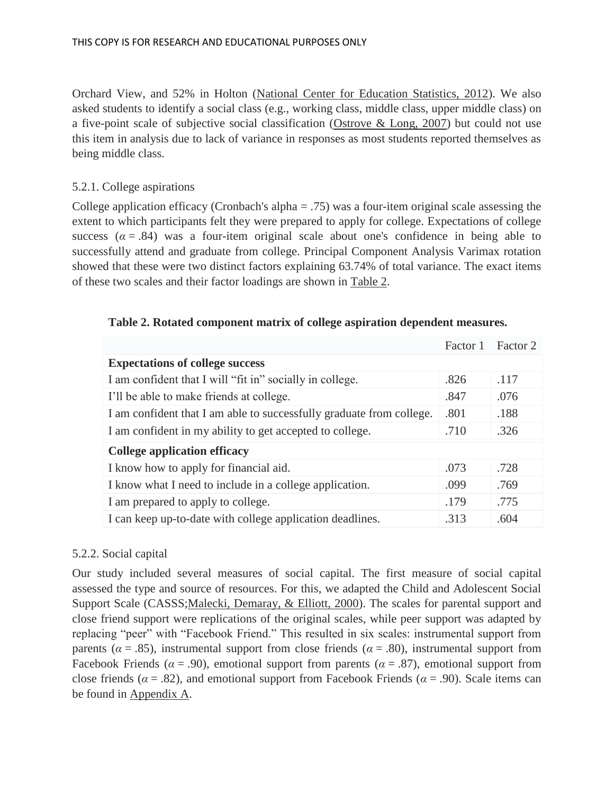Orchard View, and 52% in Holton [\(National Center for Education Statistics, 2012\)](http://www.sciencedirect.com/science/article/pii/S0360131513000080#bib37). We also asked students to identify a social class (e.g., working class, middle class, upper middle class) on a five-point scale of subjective social classification [\(Ostrove & Long, 2007\)](http://www.sciencedirect.com/science/article/pii/S0360131513000080#bib38) but could not use this item in analysis due to lack of variance in responses as most students reported themselves as being middle class.

### 5.2.1. College aspirations

College application efficacy (Cronbach's alpha  $= .75$ ) was a four-item original scale assessing the extent to which participants felt they were prepared to apply for college. Expectations of college success  $(a = .84)$  was a four-item original scale about one's confidence in being able to successfully attend and graduate from college. Principal Component Analysis Varimax rotation showed that these were two distinct factors explaining 63.74% of total variance. The exact items of these two scales and their factor loadings are shown in [Table 2.](http://www.sciencedirect.com/science/article/pii/S0360131513000080#tbl2)

|                                                                      | Factor 1 | Factor 2 |
|----------------------------------------------------------------------|----------|----------|
| <b>Expectations of college success</b>                               |          |          |
| I am confident that I will "fit in" socially in college.             | .826     | .117     |
| I'll be able to make friends at college.                             | .847     | .076     |
| I am confident that I am able to successfully graduate from college. | .801     | .188     |
| I am confident in my ability to get accepted to college.             | .710     | .326     |
| <b>College application efficacy</b>                                  |          |          |
| I know how to apply for financial aid.                               | .073     | .728     |
| I know what I need to include in a college application.              | .099     | .769     |
| I am prepared to apply to college.                                   | .179     | .775     |
| I can keep up-to-date with college application deadlines.            | .313     | .604     |

### **Table 2. Rotated component matrix of college aspiration dependent measures.**

# 5.2.2. Social capital

Our study included several measures of social capital. The first measure of social capital assessed the type and source of resources. For this, we adapted the Child and Adolescent Social Support Scale (CASSS; Malecki, Demaray, & Elliott, 2000). The scales for parental support and close friend support were replications of the original scales, while peer support was adapted by replacing "peer" with "Facebook Friend." This resulted in six scales: instrumental support from parents ( $\alpha = .85$ ), instrumental support from close friends ( $\alpha = .80$ ), instrumental support from Facebook Friends ( $\alpha$  = .90), emotional support from parents ( $\alpha$  = .87), emotional support from close friends ( $\alpha = .82$ ), and emotional support from Facebook Friends ( $\alpha = .90$ ). Scale items can be found in [Appendix A.](http://www.sciencedirect.com/science/article/pii/S0360131513000080#appsec1)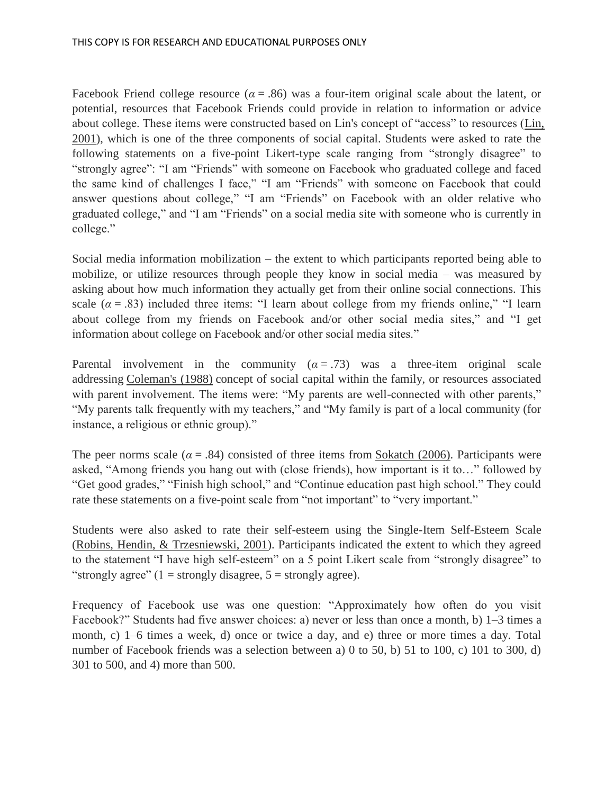Facebook Friend college resource ( $\alpha$  = .86) was a four-item original scale about the latent, or potential, resources that Facebook Friends could provide in relation to information or advice about college. These items were constructed based on Lin's concept of "access" to resources [\(Lin,](http://www.sciencedirect.com/science/article/pii/S0360131513000080#bib32)  [2001\)](http://www.sciencedirect.com/science/article/pii/S0360131513000080#bib32), which is one of the three components of social capital. Students were asked to rate the following statements on a five-point Likert-type scale ranging from "strongly disagree" to "strongly agree": "I am "Friends" with someone on Facebook who graduated college and faced the same kind of challenges I face," "I am "Friends" with someone on Facebook that could answer questions about college," "I am "Friends" on Facebook with an older relative who graduated college," and "I am "Friends" on a social media site with someone who is currently in college."

Social media information mobilization – the extent to which participants reported being able to mobilize, or utilize resources through people they know in social media – was measured by asking about how much information they actually get from their online social connections. This scale  $(a = .83)$  included three items: "I learn about college from my friends online," "I learn about college from my friends on Facebook and/or other social media sites," and "I get information about college on Facebook and/or other social media sites."

Parental involvement in the community  $(a = .73)$  was a three-item original scale addressing [Coleman's \(1988\)](http://www.sciencedirect.com/science/article/pii/S0360131513000080#bib12) concept of social capital within the family, or resources associated with parent involvement. The items were: "My parents are well-connected with other parents," "My parents talk frequently with my teachers," and "My family is part of a local community (for instance, a religious or ethnic group)."

The peer norms scale ( $\alpha$  = .84) consisted of three items from [Sokatch \(2006\).](http://www.sciencedirect.com/science/article/pii/S0360131513000080#bib47) Participants were asked, "Among friends you hang out with (close friends), how important is it to…" followed by "Get good grades," "Finish high school," and "Continue education past high school." They could rate these statements on a five-point scale from "not important" to "very important."

Students were also asked to rate their self-esteem using the Single-Item Self-Esteem Scale [\(Robins, Hendin, & Trzesniewski, 2001\)](http://www.sciencedirect.com/science/article/pii/S0360131513000080#bib42). Participants indicated the extent to which they agreed to the statement "I have high self-esteem" on a 5 point Likert scale from "strongly disagree" to "strongly agree"  $(1 =$  strongly disagree,  $5 =$  strongly agree).

Frequency of Facebook use was one question: "Approximately how often do you visit Facebook?" Students had five answer choices: a) never or less than once a month, b) 1–3 times a month, c) 1–6 times a week, d) once or twice a day, and e) three or more times a day. Total number of Facebook friends was a selection between a) 0 to 50, b) 51 to 100, c) 101 to 300, d) 301 to 500, and 4) more than 500.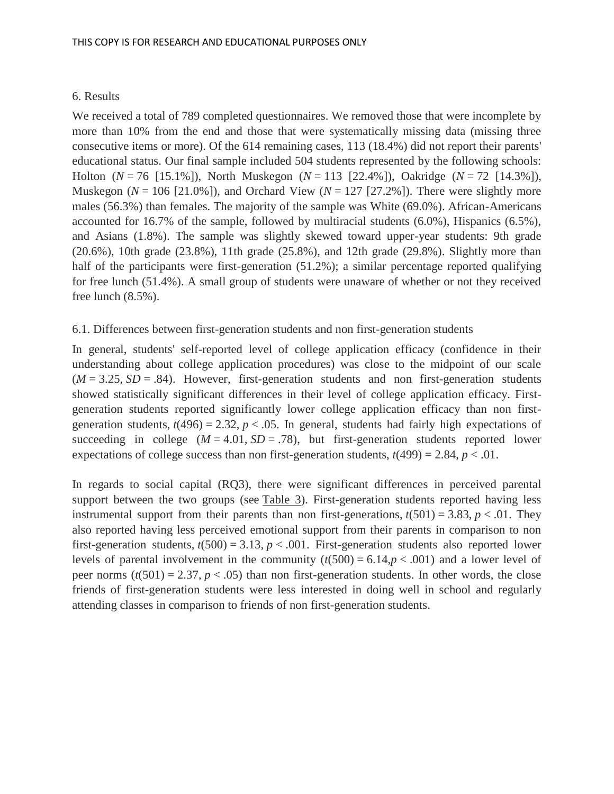#### 6. Results

We received a total of 789 completed questionnaires. We removed those that were incomplete by more than 10% from the end and those that were systematically missing data (missing three consecutive items or more). Of the 614 remaining cases, 113 (18.4%) did not report their parents' educational status. Our final sample included 504 students represented by the following schools: Holton (*N* = 76 [15.1%]), North Muskegon (*N* = 113 [22.4%]), Oakridge (*N* = 72 [14.3%]), Muskegon ( $N = 106$  [21.0%]), and Orchard View ( $N = 127$  [27.2%]). There were slightly more males (56.3%) than females. The majority of the sample was White (69.0%). African-Americans accounted for 16.7% of the sample, followed by multiracial students (6.0%), Hispanics (6.5%), and Asians (1.8%). The sample was slightly skewed toward upper-year students: 9th grade (20.6%), 10th grade (23.8%), 11th grade (25.8%), and 12th grade (29.8%). Slightly more than half of the participants were first-generation (51.2%); a similar percentage reported qualifying for free lunch (51.4%). A small group of students were unaware of whether or not they received free lunch (8.5%).

#### 6.1. Differences between first-generation students and non first-generation students

In general, students' self-reported level of college application efficacy (confidence in their understanding about college application procedures) was close to the midpoint of our scale  $(M = 3.25, SD = .84)$ . However, first-generation students and non first-generation students showed statistically significant differences in their level of college application efficacy. Firstgeneration students reported significantly lower college application efficacy than non firstgeneration students,  $t(496) = 2.32$ ,  $p < .05$ . In general, students had fairly high expectations of succeeding in college  $(M = 4.01, SD = .78)$ , but first-generation students reported lower expectations of college success than non first-generation students,  $t(499) = 2.84$ ,  $p < .01$ .

In regards to social capital (RQ3), there were significant differences in perceived parental support between the two groups (see [Table 3\)](http://www.sciencedirect.com/science/article/pii/S0360131513000080#tbl3). First-generation students reported having less instrumental support from their parents than non first-generations,  $t(501) = 3.83$ ,  $p < .01$ . They also reported having less perceived emotional support from their parents in comparison to non first-generation students,  $t(500) = 3.13$ ,  $p < .001$ . First-generation students also reported lower levels of parental involvement in the community  $(t(500) = 6.14, p < .001)$  and a lower level of peer norms  $(t(501) = 2.37, p < .05)$  than non first-generation students. In other words, the close friends of first-generation students were less interested in doing well in school and regularly attending classes in comparison to friends of non first-generation students.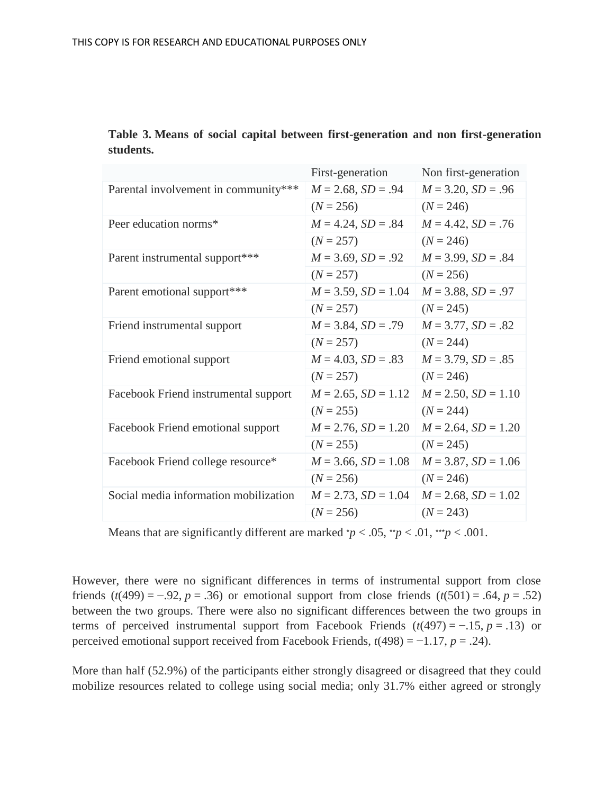| Parental involvement in community***<br>$M = 2.68$ , $SD = .94$<br>$M = 3.20, SD = .96$<br>$(N = 256)$<br>$(N = 246)$<br>Peer education norms*<br>$M = 4.24$ , $SD = .84$<br>$M = 4.42$ , $SD = .76$<br>$(N = 257)$<br>$(N = 246)$<br>$M = 3.69$ , $SD = .92$<br>$M = 3.99$ , $SD = .84$<br>Parent instrumental support***<br>$(N = 257)$<br>$(N = 256)$<br>$M = 3.88$ , $SD = .97$<br>Parent emotional support***<br>$M = 3.59$ , $SD = 1.04$<br>$(N = 245)$<br>$(N = 257)$<br>$M = 3.84$ , $SD = .79$<br>$M = 3.77$ , $SD = .82$<br>Friend instrumental support<br>$(N = 257)$<br>$(N = 244)$<br>$M = 3.79$ , $SD = .85$<br>$M = 4.03$ , $SD = .83$<br>Friend emotional support<br>$(N = 257)$<br>$(N = 246)$<br>$M = 2.65$ , $SD = 1.12$<br>$M = 2.50, SD = 1.10$<br>Facebook Friend instrumental support |
|--------------------------------------------------------------------------------------------------------------------------------------------------------------------------------------------------------------------------------------------------------------------------------------------------------------------------------------------------------------------------------------------------------------------------------------------------------------------------------------------------------------------------------------------------------------------------------------------------------------------------------------------------------------------------------------------------------------------------------------------------------------------------------------------------------------|
|                                                                                                                                                                                                                                                                                                                                                                                                                                                                                                                                                                                                                                                                                                                                                                                                              |
|                                                                                                                                                                                                                                                                                                                                                                                                                                                                                                                                                                                                                                                                                                                                                                                                              |
|                                                                                                                                                                                                                                                                                                                                                                                                                                                                                                                                                                                                                                                                                                                                                                                                              |
|                                                                                                                                                                                                                                                                                                                                                                                                                                                                                                                                                                                                                                                                                                                                                                                                              |
|                                                                                                                                                                                                                                                                                                                                                                                                                                                                                                                                                                                                                                                                                                                                                                                                              |
|                                                                                                                                                                                                                                                                                                                                                                                                                                                                                                                                                                                                                                                                                                                                                                                                              |
|                                                                                                                                                                                                                                                                                                                                                                                                                                                                                                                                                                                                                                                                                                                                                                                                              |
|                                                                                                                                                                                                                                                                                                                                                                                                                                                                                                                                                                                                                                                                                                                                                                                                              |
|                                                                                                                                                                                                                                                                                                                                                                                                                                                                                                                                                                                                                                                                                                                                                                                                              |
|                                                                                                                                                                                                                                                                                                                                                                                                                                                                                                                                                                                                                                                                                                                                                                                                              |
|                                                                                                                                                                                                                                                                                                                                                                                                                                                                                                                                                                                                                                                                                                                                                                                                              |
|                                                                                                                                                                                                                                                                                                                                                                                                                                                                                                                                                                                                                                                                                                                                                                                                              |
|                                                                                                                                                                                                                                                                                                                                                                                                                                                                                                                                                                                                                                                                                                                                                                                                              |
| $(N = 255)$<br>$(N = 244)$                                                                                                                                                                                                                                                                                                                                                                                                                                                                                                                                                                                                                                                                                                                                                                                   |
| Facebook Friend emotional support<br>$M = 2.76$ , $SD = 1.20$<br>$M = 2.64$ , $SD = 1.20$                                                                                                                                                                                                                                                                                                                                                                                                                                                                                                                                                                                                                                                                                                                    |
| $(N = 245)$<br>$(N = 255)$                                                                                                                                                                                                                                                                                                                                                                                                                                                                                                                                                                                                                                                                                                                                                                                   |
| Facebook Friend college resource*<br>$M = 3.66$ , $SD = 1.08$<br>$M = 3.87$ , $SD = 1.06$                                                                                                                                                                                                                                                                                                                                                                                                                                                                                                                                                                                                                                                                                                                    |
| $(N = 256)$<br>$(N = 246)$                                                                                                                                                                                                                                                                                                                                                                                                                                                                                                                                                                                                                                                                                                                                                                                   |
| Social media information mobilization<br>$M = 2.73$ , $SD = 1.04$<br>$M = 2.68$ , $SD = 1.02$                                                                                                                                                                                                                                                                                                                                                                                                                                                                                                                                                                                                                                                                                                                |
| $(N = 256)$<br>$(N = 243)$                                                                                                                                                                                                                                                                                                                                                                                                                                                                                                                                                                                                                                                                                                                                                                                   |

**Table 3. Means of social capital between first-generation and non first-generation students.**

Means that are significantly different are marked  $\gamma p < 0.05$ ,  $\gamma p < 0.01$ ,  $\gamma p < 0.001$ .

However, there were no significant differences in terms of instrumental support from close friends  $(t(499) = -.92, p = .36)$  or emotional support from close friends  $(t(501) = .64, p = .52)$ between the two groups. There were also no significant differences between the two groups in terms of perceived instrumental support from Facebook Friends (*t*(497) = −.15, *p* = .13) or perceived emotional support received from Facebook Friends, *t*(498) = −1.17, *p* = .24).

More than half (52.9%) of the participants either strongly disagreed or disagreed that they could mobilize resources related to college using social media; only 31.7% either agreed or strongly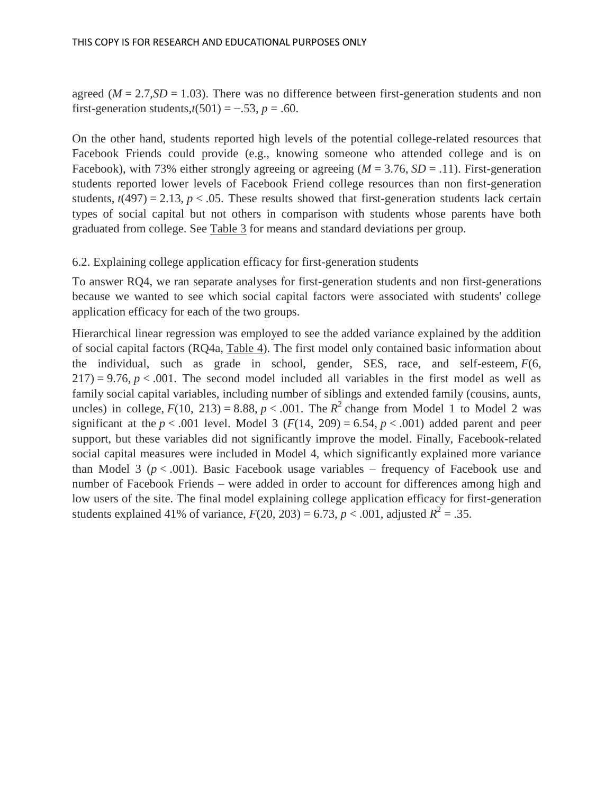agreed  $(M = 2.7, SD = 1.03)$ . There was no difference between first-generation students and non first-generation students, $t(501) = -.53$ ,  $p = .60$ .

On the other hand, students reported high levels of the potential college-related resources that Facebook Friends could provide (e.g., knowing someone who attended college and is on Facebook), with 73% either strongly agreeing or agreeing (*M* = 3.76, *SD* = .11). First-generation students reported lower levels of Facebook Friend college resources than non first-generation students,  $t(497) = 2.13$ ,  $p < .05$ . These results showed that first-generation students lack certain types of social capital but not others in comparison with students whose parents have both graduated from college. See [Table 3](http://www.sciencedirect.com/science/article/pii/S0360131513000080#tbl3) for means and standard deviations per group.

#### 6.2. Explaining college application efficacy for first-generation students

To answer RQ4, we ran separate analyses for first-generation students and non first-generations because we wanted to see which social capital factors were associated with students' college application efficacy for each of the two groups.

Hierarchical linear regression was employed to see the added variance explained by the addition of social capital factors (RQ4a, [Table 4\)](http://www.sciencedirect.com/science/article/pii/S0360131513000080#tbl4). The first model only contained basic information about the individual, such as grade in school, gender, SES, race, and self-esteem, *F*(6,  $217$ ) = 9.76,  $p < .001$ . The second model included all variables in the first model as well as family social capital variables, including number of siblings and extended family (cousins, aunts, uncles) in college,  $F(10, 213) = 8.88$ ,  $p < .001$ . The  $R^2$  change from Model 1 to Model 2 was significant at the  $p < .001$  level. Model 3 ( $F(14, 209) = 6.54$ ,  $p < .001$ ) added parent and peer support, but these variables did not significantly improve the model. Finally, Facebook-related social capital measures were included in Model 4, which significantly explained more variance than Model 3 ( $p < .001$ ). Basic Facebook usage variables – frequency of Facebook use and number of Facebook Friends – were added in order to account for differences among high and low users of the site. The final model explaining college application efficacy for first-generation students explained 41% of variance,  $F(20, 203) = 6.73$ ,  $p < .001$ , adjusted  $R^2 = .35$ .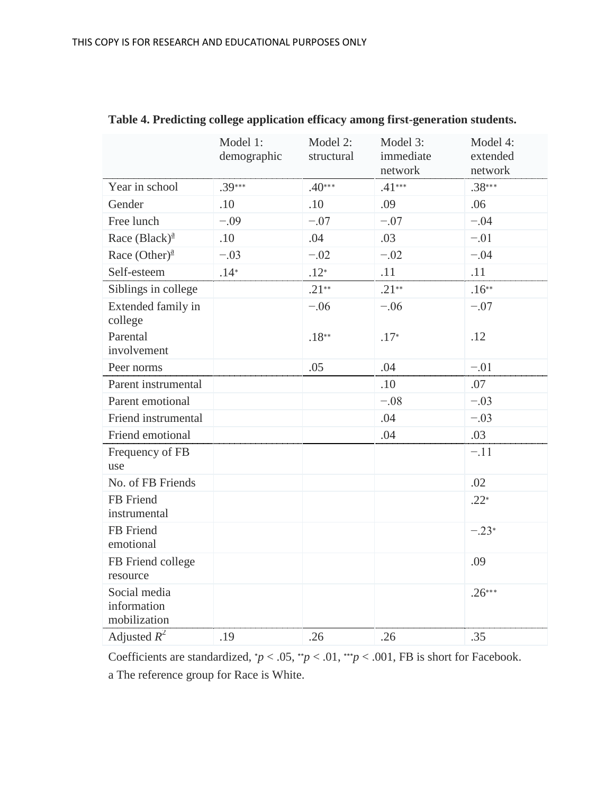|                                             | Model 1:<br>demographic | Model 2:<br>structural | Model 3:<br>immediate<br>network | Model 4:<br>extended<br>network |
|---------------------------------------------|-------------------------|------------------------|----------------------------------|---------------------------------|
| Year in school                              | $.39***$                | $.40***$               | $.41***$                         | $.38***$                        |
| Gender                                      | .10                     | .10                    | .09                              | .06                             |
| Free lunch                                  | $-.09$                  | $-.07$                 | $-.07$                           | $-.04$                          |
| Race $(Black)^{\underline{a}}$              | .10                     | .04                    | .03                              | $-.01$                          |
| Race $(Other)^{\underline{a}}$              | $-.03$                  | $-.02$                 | $-.02$                           | $-.04$                          |
| Self-esteem                                 | $.14*$                  | $.12*$                 | .11                              | .11                             |
| Siblings in college                         |                         | $.21**$                | $.21**$                          | $.16**$                         |
| Extended family in<br>college               |                         | $-.06$                 | $-.06$                           | $-.07$                          |
| Parental<br>involvement                     |                         | $.18**$                | $.17*$                           | .12                             |
| Peer norms                                  |                         | .05                    | .04                              | $-.01$                          |
| Parent instrumental                         |                         |                        | .10                              | .07                             |
| Parent emotional                            |                         |                        | $-.08$                           | $-.03$                          |
| Friend instrumental                         |                         |                        | .04                              | $-.03$                          |
| Friend emotional                            |                         |                        | .04                              | .03                             |
| Frequency of FB<br>use                      |                         |                        |                                  | $-.11$                          |
| No. of FB Friends                           |                         |                        |                                  | .02                             |
| FB Friend<br>instrumental                   |                         |                        |                                  | $.22*$                          |
| FB Friend<br>emotional                      |                         |                        |                                  | $-.23*$                         |
| FB Friend college<br>resource               |                         |                        |                                  | .09                             |
| Social media<br>information<br>mobilization |                         |                        |                                  | $.26***$                        |
| Adjusted $R^2$                              | .19                     | .26                    | .26                              | .35                             |

**Table 4. Predicting college application efficacy among first-generation students.**

Coefficients are standardized,  $\gamma p < .05$ ,  $\gamma p < .01$ ,  $\gamma p < .001$ , FB is short for Facebook.

a The reference group for Race is White.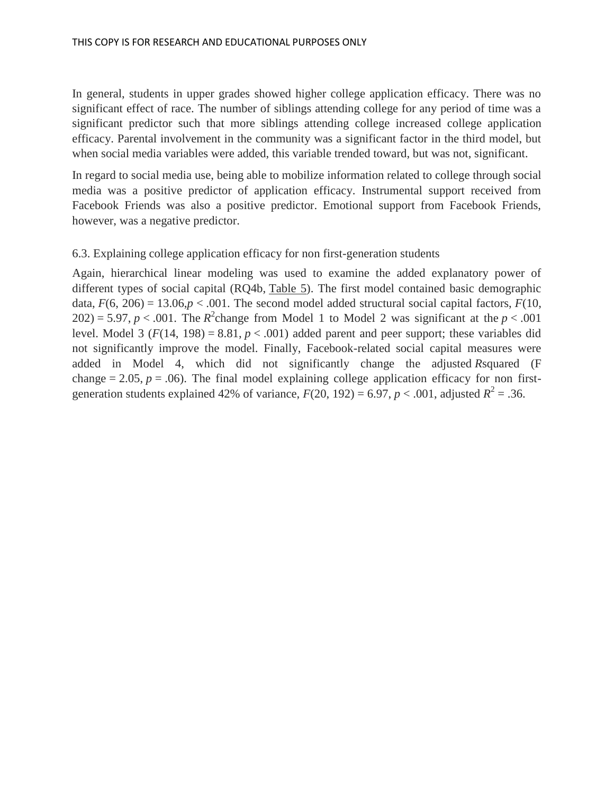In general, students in upper grades showed higher college application efficacy. There was no significant effect of race. The number of siblings attending college for any period of time was a significant predictor such that more siblings attending college increased college application efficacy. Parental involvement in the community was a significant factor in the third model, but when social media variables were added, this variable trended toward, but was not, significant.

In regard to social media use, being able to mobilize information related to college through social media was a positive predictor of application efficacy. Instrumental support received from Facebook Friends was also a positive predictor. Emotional support from Facebook Friends, however, was a negative predictor.

# 6.3. Explaining college application efficacy for non first-generation students

Again, hierarchical linear modeling was used to examine the added explanatory power of different types of social capital (RQ4b, [Table 5\)](http://www.sciencedirect.com/science/article/pii/S0360131513000080#tbl5). The first model contained basic demographic data,  $F(6, 206) = 13.06, p < .001$ . The second model added structural social capital factors,  $F(10, 100)$  $202$ ) = 5.97, *p* < .001. The *R*<sup>2</sup>change from Model 1 to Model 2 was significant at the *p* < .001 level. Model 3 ( $F(14, 198) = 8.81$ ,  $p < .001$ ) added parent and peer support; these variables did not significantly improve the model. Finally, Facebook-related social capital measures were added in Model 4, which did not significantly change the adjusted *R*squared (F change  $= 2.05$ ,  $p = .06$ ). The final model explaining college application efficacy for non firstgeneration students explained 42% of variance,  $F(20, 192) = 6.97$ ,  $p < .001$ , adjusted  $R^2 = .36$ .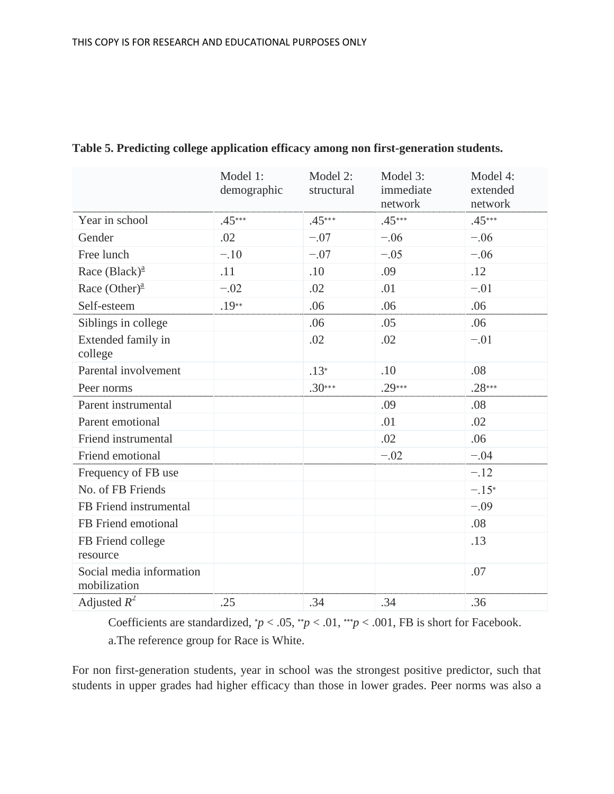|                                          | Model 1:<br>demographic | Model 2:<br>structural | Model 3:<br>immediate<br>network | Model 4:<br>extended<br>network |
|------------------------------------------|-------------------------|------------------------|----------------------------------|---------------------------------|
| Year in school                           | $.45***$                | $.45***$               | $.45***$                         | $.45***$                        |
| Gender                                   | .02                     | $-.07$                 | $-.06$                           | $-.06$                          |
| Free lunch                               | $-.10$                  | $-.07$                 | $-.05$                           | $-.06$                          |
| Race $(Black)^{\underline{a}}$           | .11                     | .10                    | .09                              | .12                             |
| Race (Other) $a$                         | $-.02$                  | .02                    | .01                              | $-.01$                          |
| Self-esteem                              | $.19**$                 | .06                    | .06                              | .06                             |
| Siblings in college                      |                         | .06                    | .05                              | .06                             |
| Extended family in<br>college            |                         | .02                    | .02                              | $-.01$                          |
| Parental involvement                     |                         | $.13*$                 | .10                              | .08                             |
| Peer norms                               |                         | $.30***$               | $.29***$                         | $.28***$                        |
| Parent instrumental                      |                         |                        | .09                              | .08                             |
| Parent emotional                         |                         |                        | .01                              | .02                             |
| Friend instrumental                      |                         |                        | .02                              | .06                             |
| Friend emotional                         |                         |                        | $-.02$                           | $-.04$                          |
| Frequency of FB use                      |                         |                        |                                  | $-.12$                          |
| No. of FB Friends                        |                         |                        |                                  | $-.15*$                         |
| FB Friend instrumental                   |                         |                        |                                  | $-.09$                          |
| FB Friend emotional                      |                         |                        |                                  | .08                             |
| FB Friend college<br>resource            |                         |                        |                                  | .13                             |
| Social media information<br>mobilization |                         |                        |                                  | .07                             |
| Adjusted $R^2$                           | .25                     | .34                    | .34                              | .36                             |

# **Table 5. Predicting college application efficacy among non first-generation students.**

Coefficients are standardized,  $\gamma p < .05$ ,  $\gamma p < .01$ ,  $\gamma p < .001$ , FB is short for Facebook. a.The reference group for Race is White.

For non first-generation students, year in school was the strongest positive predictor, such that students in upper grades had higher efficacy than those in lower grades. Peer norms was also a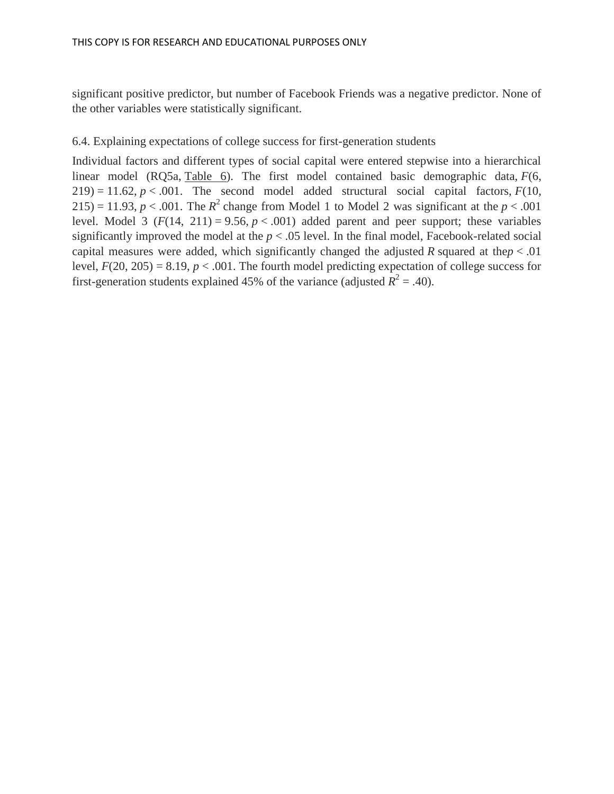significant positive predictor, but number of Facebook Friends was a negative predictor. None of the other variables were statistically significant.

## 6.4. Explaining expectations of college success for first-generation students

Individual factors and different types of social capital were entered stepwise into a hierarchical linear model (RQ5a, [Table 6\)](http://www.sciencedirect.com/science/article/pii/S0360131513000080#tbl6). The first model contained basic demographic data, *F*(6,  $219$ ) = 11.62,  $p < .001$ . The second model added structural social capital factors,  $F(10, 10)$  $215$ ) = 11.93, *p* < .001. The *R*<sup>2</sup> change from Model 1 to Model 2 was significant at the *p* < .001 level. Model 3  $(F(14, 211) = 9.56, p < .001)$  added parent and peer support; these variables significantly improved the model at the  $p < .05$  level. In the final model, Facebook-related social capital measures were added, which significantly changed the adjusted *R* squared at the*p* < .01 level,  $F(20, 205) = 8.19$ ,  $p < .001$ . The fourth model predicting expectation of college success for first-generation students explained 45% of the variance (adjusted  $R^2 = .40$ ).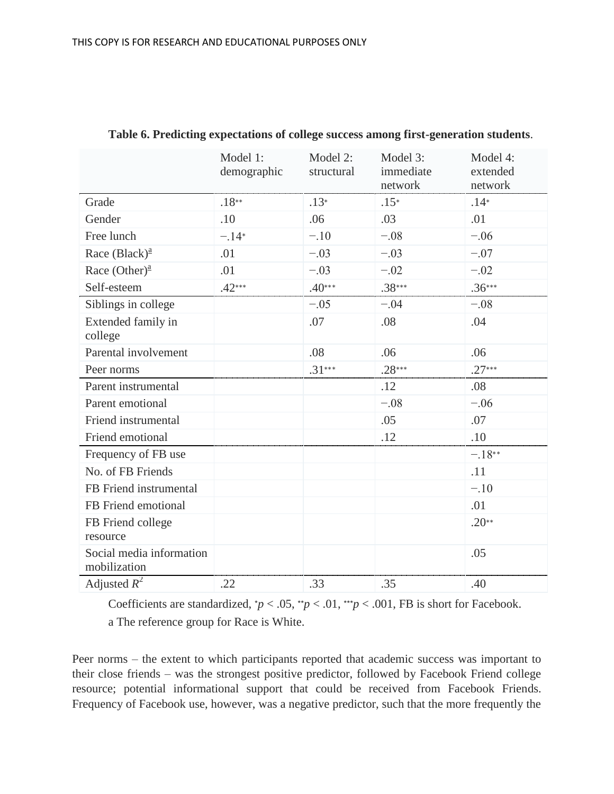|                                          | Model 1:<br>demographic | Model 2:<br>structural | Model 3:<br>immediate<br>network | Model 4:<br>extended<br>network |
|------------------------------------------|-------------------------|------------------------|----------------------------------|---------------------------------|
| Grade                                    | $.18**$                 | $.13*$                 | $.15*$                           | $.14*$                          |
| Gender                                   | .10                     | .06                    | .03                              | .01                             |
| Free lunch                               | $-.14*$                 | $-.10$                 | $-.08$                           | $-.06$                          |
| Race $(Black)^{\underline{a}}$           | .01                     | $-.03$                 | $-.03$                           | $-.07$                          |
| Race $(Other)^{\underline{a}}$           | .01                     | $-.03$                 | $-.02$                           | $-.02$                          |
| Self-esteem                              | $.42***$                | $.40***$               | $.38***$                         | $.36***$                        |
| Siblings in college                      |                         | $-.05$                 | $-.04$                           | $-.08$                          |
| Extended family in<br>college            |                         | .07                    | .08                              | .04                             |
| Parental involvement                     |                         | .08                    | .06                              | .06                             |
| Peer norms                               |                         | $.31***$               | $.28***$                         | $.27***$                        |
| Parent instrumental                      |                         |                        | .12                              | .08                             |
| Parent emotional                         |                         |                        | $-.08$                           | $-.06$                          |
| Friend instrumental                      |                         |                        | .05                              | .07                             |
| Friend emotional                         |                         |                        | .12                              | .10                             |
| Frequency of FB use                      |                         |                        |                                  | $-.18**$                        |
| No. of FB Friends                        |                         |                        |                                  | .11                             |
| FB Friend instrumental                   |                         |                        |                                  | $-.10$                          |
| FB Friend emotional                      |                         |                        |                                  | .01                             |
| FB Friend college<br>resource            |                         |                        |                                  | $.20**$                         |
| Social media information<br>mobilization |                         |                        |                                  | .05                             |
| Adjusted $R^2$                           | .22                     | .33                    | .35                              | .40                             |

**Table 6. Predicting expectations of college success among first-generation students**.

Coefficients are standardized,  $\gamma p < .05$ ,  $\gamma p < .01$ ,  $\gamma p < .001$ , FB is short for Facebook. a The reference group for Race is White.

Peer norms – the extent to which participants reported that academic success was important to their close friends – was the strongest positive predictor, followed by Facebook Friend college resource; potential informational support that could be received from Facebook Friends. Frequency of Facebook use, however, was a negative predictor, such that the more frequently the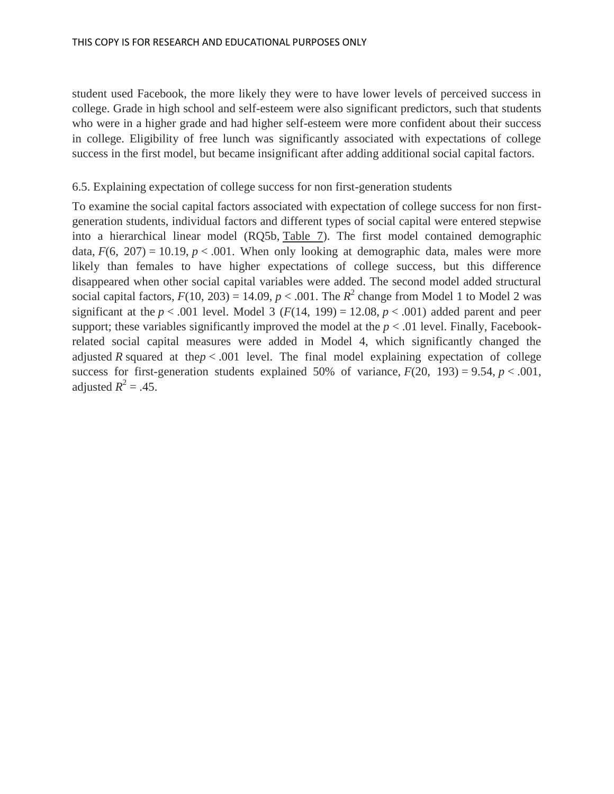student used Facebook, the more likely they were to have lower levels of perceived success in college. Grade in high school and self-esteem were also significant predictors, such that students who were in a higher grade and had higher self-esteem were more confident about their success in college. Eligibility of free lunch was significantly associated with expectations of college success in the first model, but became insignificant after adding additional social capital factors.

### 6.5. Explaining expectation of college success for non first-generation students

To examine the social capital factors associated with expectation of college success for non firstgeneration students, individual factors and different types of social capital were entered stepwise into a hierarchical linear model (RQ5b, [Table 7\)](http://www.sciencedirect.com/science/article/pii/S0360131513000080#tbl7). The first model contained demographic data,  $F(6, 207) = 10.19$ ,  $p < .001$ . When only looking at demographic data, males were more likely than females to have higher expectations of college success, but this difference disappeared when other social capital variables were added. The second model added structural social capital factors,  $F(10, 203) = 14.09$ ,  $p < .001$ . The  $R^2$  change from Model 1 to Model 2 was significant at the  $p < .001$  level. Model 3 ( $F(14, 199) = 12.08$ ,  $p < .001$ ) added parent and peer support; these variables significantly improved the model at the  $p < .01$  level. Finally, Facebookrelated social capital measures were added in Model 4, which significantly changed the adjusted *R* squared at the  $p < .001$  level. The final model explaining expectation of college success for first-generation students explained 50% of variance,  $F(20, 193) = 9.54$ ,  $p < .001$ , adjusted  $R^2 = .45$ .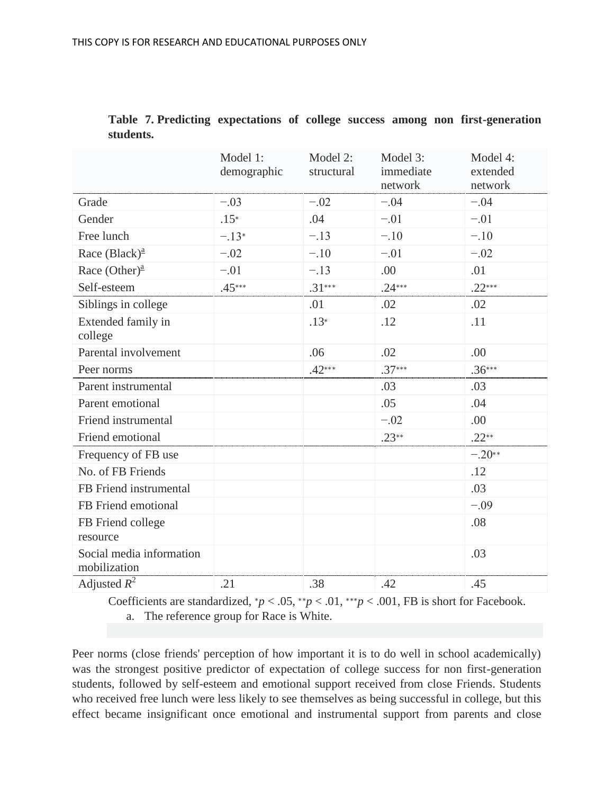|                                          | Model 1:<br>demographic | Model 2:<br>structural | Model 3:<br>immediate<br>network | Model 4:<br>extended<br>network |
|------------------------------------------|-------------------------|------------------------|----------------------------------|---------------------------------|
| Grade                                    | $-.03$                  | $-.02$                 | $-.04$                           | $-.04$                          |
| Gender                                   | $.15*$                  | .04                    | $-.01$                           | $-.01$                          |
| Free lunch                               | $-.13*$                 | $-.13$                 | $-.10$                           | $-.10$                          |
| Race $(Black)^{\underline{a}}$           | $-.02$                  | $-.10$                 | $-.01$                           | $-.02$                          |
| Race $(Other)^{\underline{a}}$           | $-.01$                  | $-.13$                 | .00                              | .01                             |
| Self-esteem                              | $.45***$                | $.31***$               | $.24***$                         | $.22***$                        |
| Siblings in college                      |                         | .01                    | .02                              | .02                             |
| Extended family in<br>college            |                         | $.13*$                 | .12                              | .11                             |
| Parental involvement                     |                         | .06                    | .02                              | .00                             |
| Peer norms                               |                         | $.42***$               | $.37***$                         | $.36***$                        |
| Parent instrumental                      |                         |                        | .03                              | .03                             |
| Parent emotional                         |                         |                        | .05                              | .04                             |
| Friend instrumental                      |                         |                        | $-.02$                           | .00                             |
| Friend emotional                         |                         |                        | $.23**$                          | $.22**$                         |
| Frequency of FB use                      |                         |                        |                                  | $-.20**$                        |
| No. of FB Friends                        |                         |                        |                                  | .12                             |
| FB Friend instrumental                   |                         |                        |                                  | .03                             |
| FB Friend emotional                      |                         |                        |                                  | $-.09$                          |
| FB Friend college<br>resource            |                         |                        |                                  | .08                             |
| Social media information<br>mobilization |                         |                        |                                  | .03                             |
| Adjusted $R^2$                           | .21                     | .38                    | .42                              | .45                             |

**Table 7. Predicting expectations of college success among non first-generation students.**

Coefficients are standardized,  $p < .05$ ,  $\sqrt[k]{p} < .01$ ,  $\sqrt[k]{p} < .001$ , FB is short for Facebook.

a. The reference group for Race is White.

Peer norms (close friends' perception of how important it is to do well in school academically) was the strongest positive predictor of expectation of college success for non first-generation students, followed by self-esteem and emotional support received from close Friends. Students who received free lunch were less likely to see themselves as being successful in college, but this effect became insignificant once emotional and instrumental support from parents and close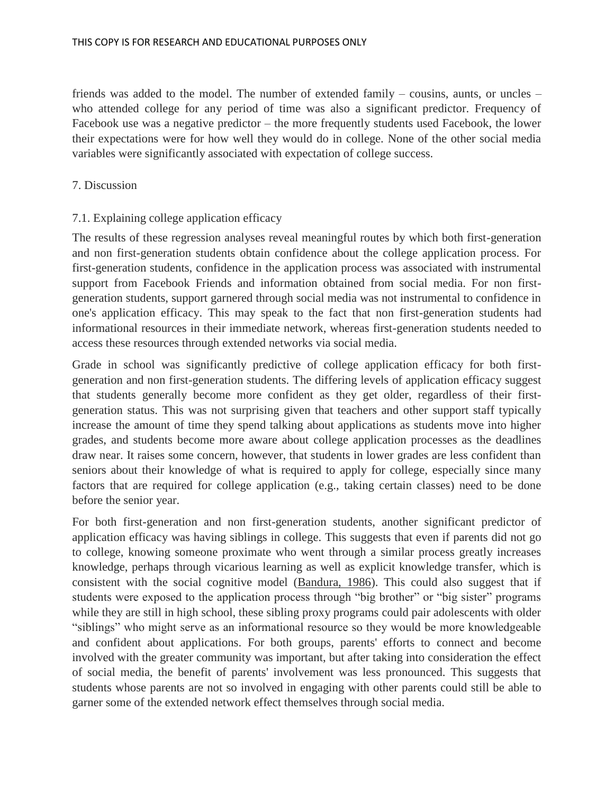friends was added to the model. The number of extended family – cousins, aunts, or uncles – who attended college for any period of time was also a significant predictor. Frequency of Facebook use was a negative predictor – the more frequently students used Facebook, the lower their expectations were for how well they would do in college. None of the other social media variables were significantly associated with expectation of college success.

#### 7. Discussion

### 7.1. Explaining college application efficacy

The results of these regression analyses reveal meaningful routes by which both first-generation and non first-generation students obtain confidence about the college application process. For first-generation students, confidence in the application process was associated with instrumental support from Facebook Friends and information obtained from social media. For non firstgeneration students, support garnered through social media was not instrumental to confidence in one's application efficacy. This may speak to the fact that non first-generation students had informational resources in their immediate network, whereas first-generation students needed to access these resources through extended networks via social media.

Grade in school was significantly predictive of college application efficacy for both firstgeneration and non first-generation students. The differing levels of application efficacy suggest that students generally become more confident as they get older, regardless of their firstgeneration status. This was not surprising given that teachers and other support staff typically increase the amount of time they spend talking about applications as students move into higher grades, and students become more aware about college application processes as the deadlines draw near. It raises some concern, however, that students in lower grades are less confident than seniors about their knowledge of what is required to apply for college, especially since many factors that are required for college application (e.g., taking certain classes) need to be done before the senior year.

For both first-generation and non first-generation students, another significant predictor of application efficacy was having siblings in college. This suggests that even if parents did not go to college, knowing someone proximate who went through a similar process greatly increases knowledge, perhaps through vicarious learning as well as explicit knowledge transfer, which is consistent with the social cognitive model [\(Bandura, 1986\)](http://www.sciencedirect.com/science/article/pii/S0360131513000080#bib3). This could also suggest that if students were exposed to the application process through "big brother" or "big sister" programs while they are still in high school, these sibling proxy programs could pair adolescents with older "siblings" who might serve as an informational resource so they would be more knowledgeable and confident about applications. For both groups, parents' efforts to connect and become involved with the greater community was important, but after taking into consideration the effect of social media, the benefit of parents' involvement was less pronounced. This suggests that students whose parents are not so involved in engaging with other parents could still be able to garner some of the extended network effect themselves through social media.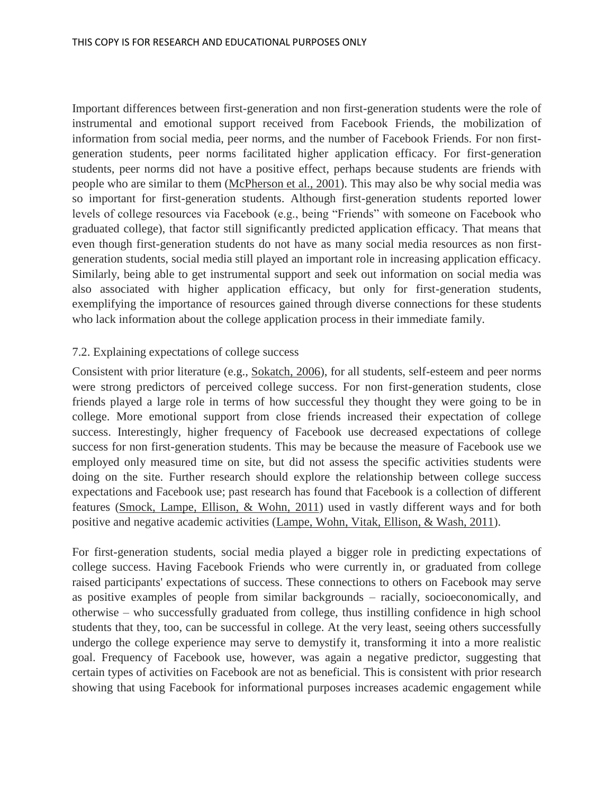Important differences between first-generation and non first-generation students were the role of instrumental and emotional support received from Facebook Friends, the mobilization of information from social media, peer norms, and the number of Facebook Friends. For non firstgeneration students, peer norms facilitated higher application efficacy. For first-generation students, peer norms did not have a positive effect, perhaps because students are friends with people who are similar to them [\(McPherson et](http://www.sciencedirect.com/science/article/pii/S0360131513000080#bib36) al., 2001). This may also be why social media was so important for first-generation students. Although first-generation students reported lower levels of college resources via Facebook (e.g., being "Friends" with someone on Facebook who graduated college), that factor still significantly predicted application efficacy. That means that even though first-generation students do not have as many social media resources as non firstgeneration students, social media still played an important role in increasing application efficacy. Similarly, being able to get instrumental support and seek out information on social media was also associated with higher application efficacy, but only for first-generation students, exemplifying the importance of resources gained through diverse connections for these students who lack information about the college application process in their immediate family.

#### 7.2. Explaining expectations of college success

Consistent with prior literature (e.g., [Sokatch, 2006\)](http://www.sciencedirect.com/science/article/pii/S0360131513000080#bib47), for all students, self-esteem and peer norms were strong predictors of perceived college success. For non first-generation students, close friends played a large role in terms of how successful they thought they were going to be in college. More emotional support from close friends increased their expectation of college success. Interestingly, higher frequency of Facebook use decreased expectations of college success for non first-generation students. This may be because the measure of Facebook use we employed only measured time on site, but did not assess the specific activities students were doing on the site. Further research should explore the relationship between college success expectations and Facebook use; past research has found that Facebook is a collection of different features [\(Smock, Lampe, Ellison, & Wohn, 2011\)](http://www.sciencedirect.com/science/article/pii/S0360131513000080#bib45) used in vastly different ways and for both positive and negative academic activities [\(Lampe, Wohn, Vitak, Ellison, & Wash, 2011\)](http://www.sciencedirect.com/science/article/pii/S0360131513000080#bib28).

For first-generation students, social media played a bigger role in predicting expectations of college success. Having Facebook Friends who were currently in, or graduated from college raised participants' expectations of success. These connections to others on Facebook may serve as positive examples of people from similar backgrounds – racially, socioeconomically, and otherwise – who successfully graduated from college, thus instilling confidence in high school students that they, too, can be successful in college. At the very least, seeing others successfully undergo the college experience may serve to demystify it, transforming it into a more realistic goal. Frequency of Facebook use, however, was again a negative predictor, suggesting that certain types of activities on Facebook are not as beneficial. This is consistent with prior research showing that using Facebook for informational purposes increases academic engagement while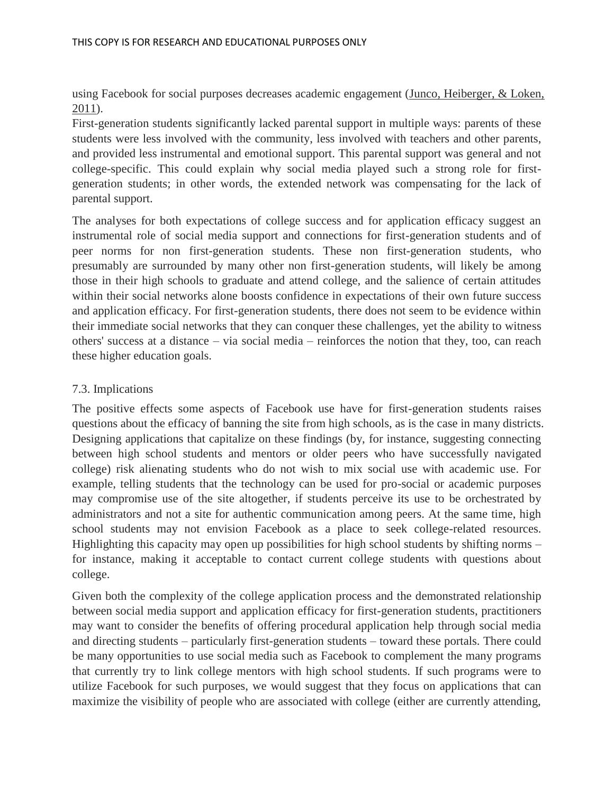using Facebook for social purposes decreases academic engagement [\(Junco, Heiberger, & Loken,](http://www.sciencedirect.com/science/article/pii/S0360131513000080#bib27)  [2011\)](http://www.sciencedirect.com/science/article/pii/S0360131513000080#bib27).

First-generation students significantly lacked parental support in multiple ways: parents of these students were less involved with the community, less involved with teachers and other parents, and provided less instrumental and emotional support. This parental support was general and not college-specific. This could explain why social media played such a strong role for firstgeneration students; in other words, the extended network was compensating for the lack of parental support.

The analyses for both expectations of college success and for application efficacy suggest an instrumental role of social media support and connections for first-generation students and of peer norms for non first-generation students. These non first-generation students, who presumably are surrounded by many other non first-generation students, will likely be among those in their high schools to graduate and attend college, and the salience of certain attitudes within their social networks alone boosts confidence in expectations of their own future success and application efficacy. For first-generation students, there does not seem to be evidence within their immediate social networks that they can conquer these challenges, yet the ability to witness others' success at a distance – via social media – reinforces the notion that they, too, can reach these higher education goals.

# 7.3. Implications

The positive effects some aspects of Facebook use have for first-generation students raises questions about the efficacy of banning the site from high schools, as is the case in many districts. Designing applications that capitalize on these findings (by, for instance, suggesting connecting between high school students and mentors or older peers who have successfully navigated college) risk alienating students who do not wish to mix social use with academic use. For example, telling students that the technology can be used for pro-social or academic purposes may compromise use of the site altogether, if students perceive its use to be orchestrated by administrators and not a site for authentic communication among peers. At the same time, high school students may not envision Facebook as a place to seek college-related resources. Highlighting this capacity may open up possibilities for high school students by shifting norms – for instance, making it acceptable to contact current college students with questions about college.

Given both the complexity of the college application process and the demonstrated relationship between social media support and application efficacy for first-generation students, practitioners may want to consider the benefits of offering procedural application help through social media and directing students – particularly first-generation students – toward these portals. There could be many opportunities to use social media such as Facebook to complement the many programs that currently try to link college mentors with high school students. If such programs were to utilize Facebook for such purposes, we would suggest that they focus on applications that can maximize the visibility of people who are associated with college (either are currently attending,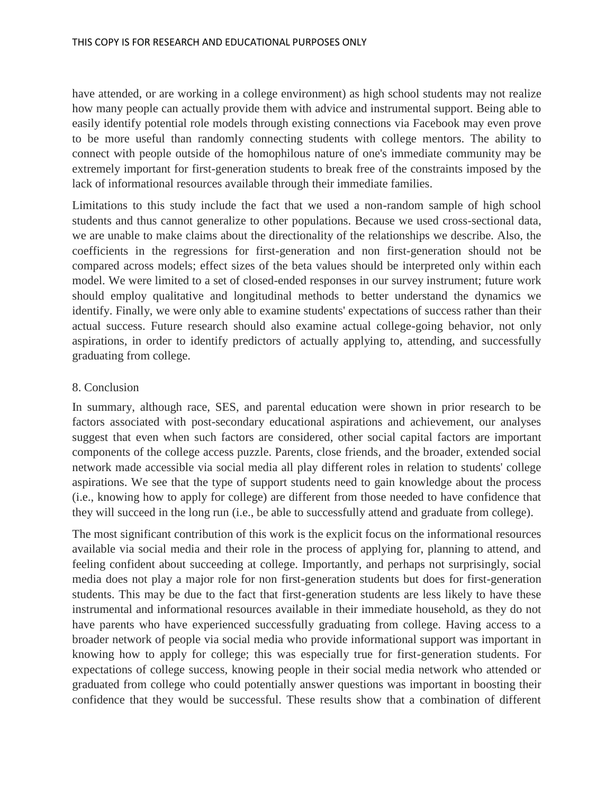have attended, or are working in a college environment) as high school students may not realize how many people can actually provide them with advice and instrumental support. Being able to easily identify potential role models through existing connections via Facebook may even prove to be more useful than randomly connecting students with college mentors. The ability to connect with people outside of the homophilous nature of one's immediate community may be extremely important for first-generation students to break free of the constraints imposed by the lack of informational resources available through their immediate families.

Limitations to this study include the fact that we used a non-random sample of high school students and thus cannot generalize to other populations. Because we used cross-sectional data, we are unable to make claims about the directionality of the relationships we describe. Also, the coefficients in the regressions for first-generation and non first-generation should not be compared across models; effect sizes of the beta values should be interpreted only within each model. We were limited to a set of closed-ended responses in our survey instrument; future work should employ qualitative and longitudinal methods to better understand the dynamics we identify. Finally, we were only able to examine students' expectations of success rather than their actual success. Future research should also examine actual college-going behavior, not only aspirations, in order to identify predictors of actually applying to, attending, and successfully graduating from college.

### 8. Conclusion

In summary, although race, SES, and parental education were shown in prior research to be factors associated with post-secondary educational aspirations and achievement, our analyses suggest that even when such factors are considered, other social capital factors are important components of the college access puzzle. Parents, close friends, and the broader, extended social network made accessible via social media all play different roles in relation to students' college aspirations. We see that the type of support students need to gain knowledge about the process (i.e., knowing how to apply for college) are different from those needed to have confidence that they will succeed in the long run (i.e., be able to successfully attend and graduate from college).

The most significant contribution of this work is the explicit focus on the informational resources available via social media and their role in the process of applying for, planning to attend, and feeling confident about succeeding at college. Importantly, and perhaps not surprisingly, social media does not play a major role for non first-generation students but does for first-generation students. This may be due to the fact that first-generation students are less likely to have these instrumental and informational resources available in their immediate household, as they do not have parents who have experienced successfully graduating from college. Having access to a broader network of people via social media who provide informational support was important in knowing how to apply for college; this was especially true for first-generation students. For expectations of college success, knowing people in their social media network who attended or graduated from college who could potentially answer questions was important in boosting their confidence that they would be successful. These results show that a combination of different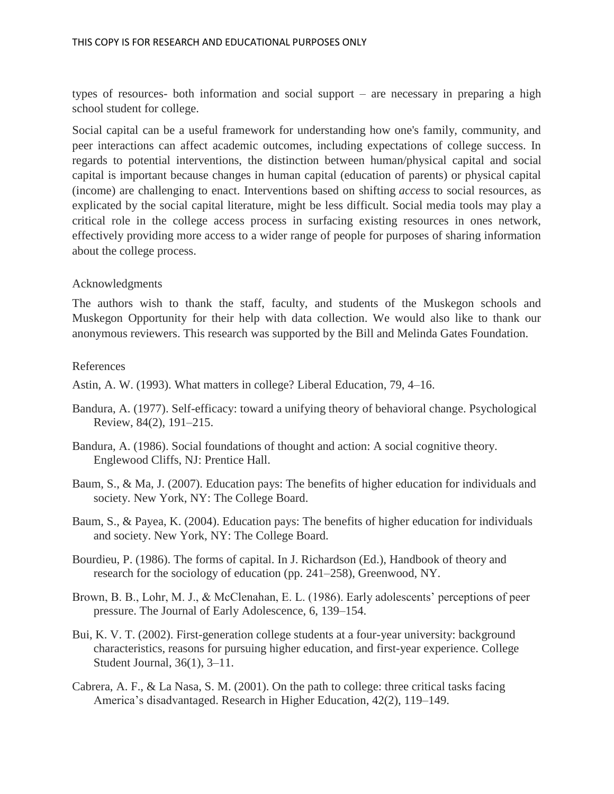types of resources- both information and social support – are necessary in preparing a high school student for college.

Social capital can be a useful framework for understanding how one's family, community, and peer interactions can affect academic outcomes, including expectations of college success. In regards to potential interventions, the distinction between human/physical capital and social capital is important because changes in human capital (education of parents) or physical capital (income) are challenging to enact. Interventions based on shifting *access* to social resources, as explicated by the social capital literature, might be less difficult. Social media tools may play a critical role in the college access process in surfacing existing resources in ones network, effectively providing more access to a wider range of people for purposes of sharing information about the college process.

### Acknowledgments

The authors wish to thank the staff, faculty, and students of the Muskegon schools and Muskegon Opportunity for their help with data collection. We would also like to thank our anonymous reviewers. This research was supported by the Bill and Melinda Gates Foundation.

#### References

Astin, A. W. (1993). What matters in college? Liberal Education, 79, 4–16.

- Bandura, A. (1977). Self-efficacy: toward a unifying theory of behavioral change. Psychological Review, 84(2), 191–215.
- Bandura, A. (1986). Social foundations of thought and action: A social cognitive theory. Englewood Cliffs, NJ: Prentice Hall.
- Baum, S., & Ma, J. (2007). Education pays: The benefits of higher education for individuals and society. New York, NY: The College Board.
- Baum, S., & Payea, K. (2004). Education pays: The benefits of higher education for individuals and society. New York, NY: The College Board.
- Bourdieu, P. (1986). The forms of capital. In J. Richardson (Ed.), Handbook of theory and research for the sociology of education (pp. 241–258), Greenwood, NY.
- Brown, B. B., Lohr, M. J., & McClenahan, E. L. (1986). Early adolescents' perceptions of peer pressure. The Journal of Early Adolescence, 6, 139–154.
- Bui, K. V. T. (2002). First-generation college students at a four-year university: background characteristics, reasons for pursuing higher education, and first-year experience. College Student Journal, 36(1), 3–11.
- Cabrera, A. F., & La Nasa, S. M. (2001). On the path to college: three critical tasks facing America's disadvantaged. Research in Higher Education, 42(2), 119–149.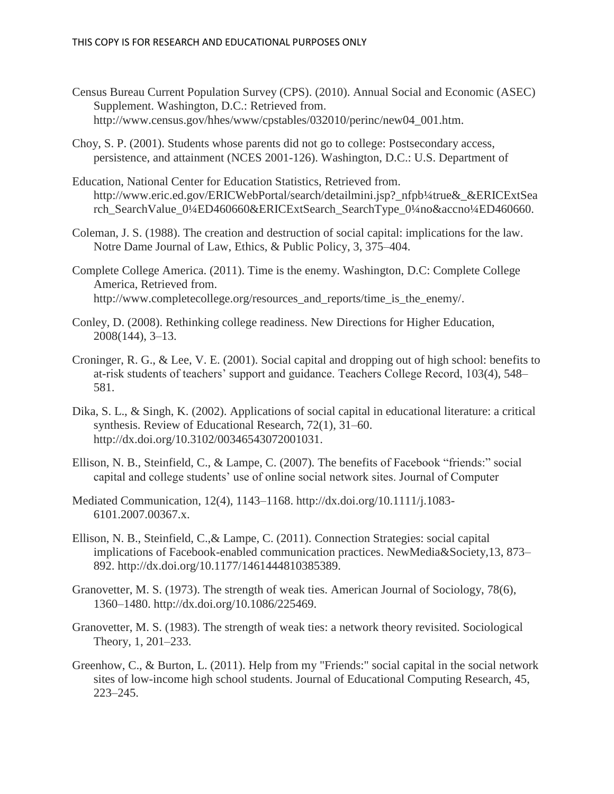- Census Bureau Current Population Survey (CPS). (2010). Annual Social and Economic (ASEC) Supplement. Washington, D.C.: Retrieved from. http://www.census.gov/hhes/www/cpstables/032010/perinc/new04\_001.htm.
- Choy, S. P. (2001). Students whose parents did not go to college: Postsecondary access, persistence, and attainment (NCES 2001-126). Washington, D.C.: U.S. Department of
- Education, National Center for Education Statistics, Retrieved from. http://www.eric.ed.gov/ERICWebPortal/search/detailmini.jsp?\_nfpb¼ true&\_&ERICExtSea rch\_SearchValue\_0¼ ED460660&ERICExtSearch\_SearchType\_0¼ no&accno¼ ED460660.
- Coleman, J. S. (1988). The creation and destruction of social capital: implications for the law. Notre Dame Journal of Law, Ethics, & Public Policy, 3, 375–404.
- Complete College America. (2011). Time is the enemy. Washington, D.C: Complete College America, Retrieved from. http://www.completecollege.org/resources\_and\_reports/time\_is\_the\_enemy/.
- Conley, D. (2008). Rethinking college readiness. New Directions for Higher Education, 2008(144), 3–13.
- Croninger, R. G., & Lee, V. E. (2001). Social capital and dropping out of high school: benefits to at-risk students of teachers' support and guidance. Teachers College Record, 103(4), 548– 581.
- Dika, S. L., & Singh, K. (2002). Applications of social capital in educational literature: a critical synthesis. Review of Educational Research, 72(1), 31–60. http://dx.doi.org/10.3102/00346543072001031.
- Ellison, N. B., Steinfield, C., & Lampe, C. (2007). The benefits of Facebook "friends:" social capital and college students' use of online social network sites. Journal of Computer
- Mediated Communication, 12(4), 1143–1168. http://dx.doi.org/10.1111/j.1083- 6101.2007.00367.x.
- Ellison, N. B., Steinfield, C.,& Lampe, C. (2011). Connection Strategies: social capital implications of Facebook-enabled communication practices. NewMedia&Society,13, 873– 892. http://dx.doi.org/10.1177/1461444810385389.
- Granovetter, M. S. (1973). The strength of weak ties. American Journal of Sociology, 78(6), 1360–1480. http://dx.doi.org/10.1086/225469.
- Granovetter, M. S. (1983). The strength of weak ties: a network theory revisited. Sociological Theory, 1, 201–233.
- Greenhow, C., & Burton, L. (2011). Help from my "Friends:" social capital in the social network sites of low-income high school students. Journal of Educational Computing Research, 45, 223–245.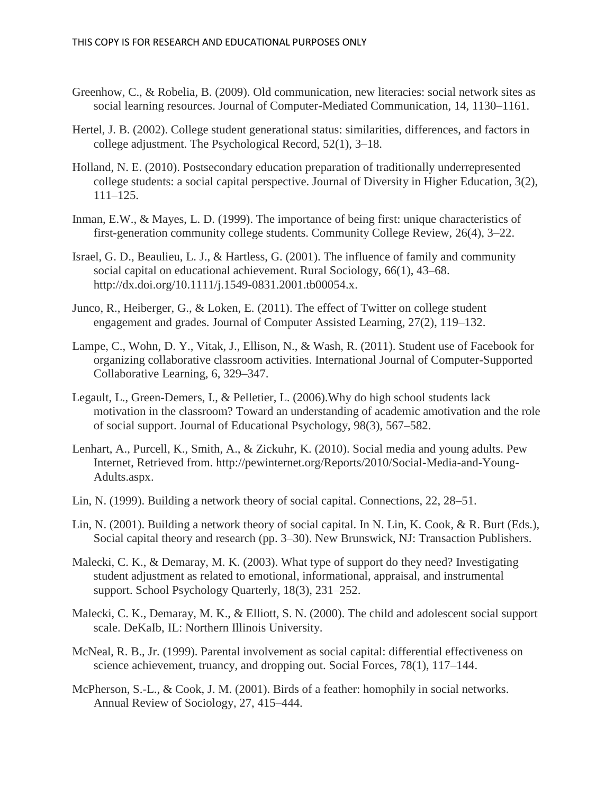- Greenhow, C., & Robelia, B. (2009). Old communication, new literacies: social network sites as social learning resources. Journal of Computer-Mediated Communication, 14, 1130–1161.
- Hertel, J. B. (2002). College student generational status: similarities, differences, and factors in college adjustment. The Psychological Record, 52(1), 3–18.
- Holland, N. E. (2010). Postsecondary education preparation of traditionally underrepresented college students: a social capital perspective. Journal of Diversity in Higher Education, 3(2), 111–125.
- Inman, E.W., & Mayes, L. D. (1999). The importance of being first: unique characteristics of first-generation community college students. Community College Review, 26(4), 3–22.
- Israel, G. D., Beaulieu, L. J., & Hartless, G. (2001). The influence of family and community social capital on educational achievement. Rural Sociology, 66(1), 43–68. http://dx.doi.org/10.1111/j.1549-0831.2001.tb00054.x.
- Junco, R., Heiberger, G., & Loken, E. (2011). The effect of Twitter on college student engagement and grades. Journal of Computer Assisted Learning, 27(2), 119–132.
- Lampe, C., Wohn, D. Y., Vitak, J., Ellison, N., & Wash, R. (2011). Student use of Facebook for organizing collaborative classroom activities. International Journal of Computer-Supported Collaborative Learning, 6, 329–347.
- Legault, L., Green-Demers, I., & Pelletier, L. (2006).Why do high school students lack motivation in the classroom? Toward an understanding of academic amotivation and the role of social support. Journal of Educational Psychology, 98(3), 567–582.
- Lenhart, A., Purcell, K., Smith, A., & Zickuhr, K. (2010). Social media and young adults. Pew Internet, Retrieved from. http://pewinternet.org/Reports/2010/Social-Media-and-Young-Adults.aspx.
- Lin, N. (1999). Building a network theory of social capital. Connections, 22, 28–51.
- Lin, N. (2001). Building a network theory of social capital. In N. Lin, K. Cook, & R. Burt (Eds.), Social capital theory and research (pp. 3–30). New Brunswick, NJ: Transaction Publishers.
- Malecki, C. K., & Demaray, M. K. (2003). What type of support do they need? Investigating student adjustment as related to emotional, informational, appraisal, and instrumental support. School Psychology Quarterly, 18(3), 231–252.
- Malecki, C. K., Demaray, M. K., & Elliott, S. N. (2000). The child and adolescent social support scale. DeKaIb, IL: Northern Illinois University.
- McNeal, R. B., Jr. (1999). Parental involvement as social capital: differential effectiveness on science achievement, truancy, and dropping out. Social Forces, 78(1), 117–144.
- McPherson, S.-L., & Cook, J. M. (2001). Birds of a feather: homophily in social networks. Annual Review of Sociology, 27, 415–444.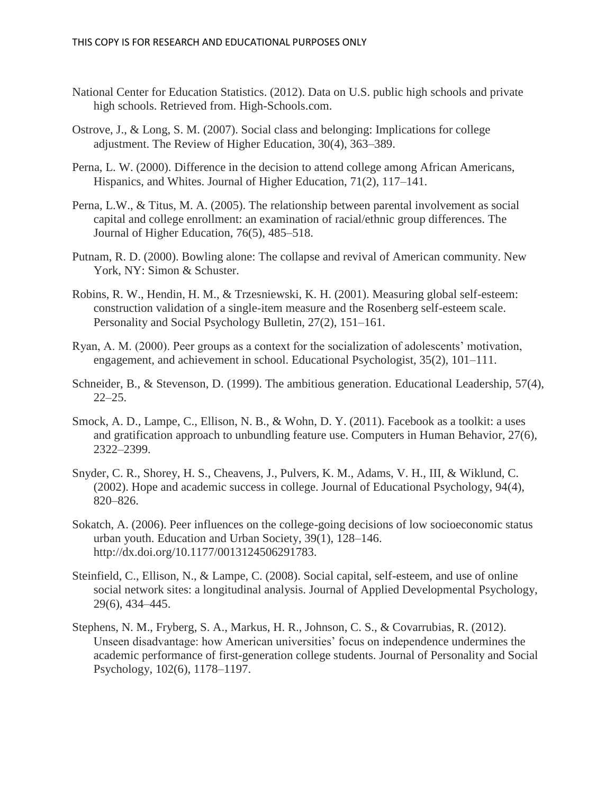- National Center for Education Statistics. (2012). Data on U.S. public high schools and private high schools. Retrieved from. High-Schools.com.
- Ostrove, J., & Long, S. M. (2007). Social class and belonging: Implications for college adjustment. The Review of Higher Education, 30(4), 363–389.
- Perna, L. W. (2000). Difference in the decision to attend college among African Americans, Hispanics, and Whites. Journal of Higher Education, 71(2), 117–141.
- Perna, L.W., & Titus, M. A. (2005). The relationship between parental involvement as social capital and college enrollment: an examination of racial/ethnic group differences. The Journal of Higher Education, 76(5), 485–518.
- Putnam, R. D. (2000). Bowling alone: The collapse and revival of American community. New York, NY: Simon & Schuster.
- Robins, R. W., Hendin, H. M., & Trzesniewski, K. H. (2001). Measuring global self-esteem: construction validation of a single-item measure and the Rosenberg self-esteem scale. Personality and Social Psychology Bulletin, 27(2), 151–161.
- Ryan, A. M. (2000). Peer groups as a context for the socialization of adolescents' motivation, engagement, and achievement in school. Educational Psychologist, 35(2), 101–111.
- Schneider, B., & Stevenson, D. (1999). The ambitious generation. Educational Leadership, 57(4),  $22 - 25.$
- Smock, A. D., Lampe, C., Ellison, N. B., & Wohn, D. Y. (2011). Facebook as a toolkit: a uses and gratification approach to unbundling feature use. Computers in Human Behavior, 27(6), 2322–2399.
- Snyder, C. R., Shorey, H. S., Cheavens, J., Pulvers, K. M., Adams, V. H., III, & Wiklund, C. (2002). Hope and academic success in college. Journal of Educational Psychology, 94(4), 820–826.
- Sokatch, A. (2006). Peer influences on the college-going decisions of low socioeconomic status urban youth. Education and Urban Society, 39(1), 128–146. http://dx.doi.org/10.1177/0013124506291783.
- Steinfield, C., Ellison, N., & Lampe, C. (2008). Social capital, self-esteem, and use of online social network sites: a longitudinal analysis. Journal of Applied Developmental Psychology, 29(6), 434–445.
- Stephens, N. M., Fryberg, S. A., Markus, H. R., Johnson, C. S., & Covarrubias, R. (2012). Unseen disadvantage: how American universities' focus on independence undermines the academic performance of first-generation college students. Journal of Personality and Social Psychology, 102(6), 1178–1197.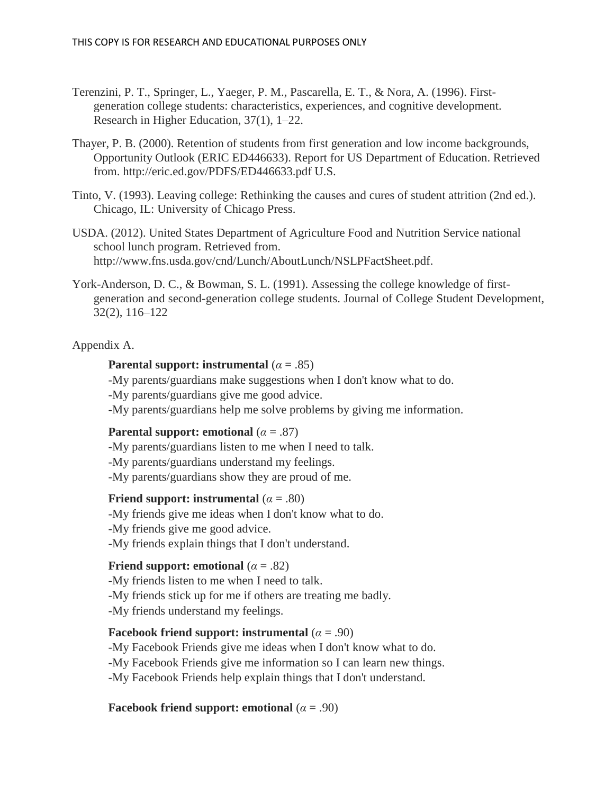- Terenzini, P. T., Springer, L., Yaeger, P. M., Pascarella, E. T., & Nora, A. (1996). Firstgeneration college students: characteristics, experiences, and cognitive development. Research in Higher Education, 37(1), 1–22.
- Thayer, P. B. (2000). Retention of students from first generation and low income backgrounds, Opportunity Outlook (ERIC ED446633). Report for US Department of Education. Retrieved from. http://eric.ed.gov/PDFS/ED446633.pdf U.S.
- Tinto, V. (1993). Leaving college: Rethinking the causes and cures of student attrition (2nd ed.). Chicago, IL: University of Chicago Press.
- USDA. (2012). United States Department of Agriculture Food and Nutrition Service national school lunch program. Retrieved from. http://www.fns.usda.gov/cnd/Lunch/AboutLunch/NSLPFactSheet.pdf.
- York-Anderson, D. C., & Bowman, S. L. (1991). Assessing the college knowledge of firstgeneration and second-generation college students. Journal of College Student Development, 32(2), 116–122

### Appendix A.

#### **Parental support: instrumental**  $(a = .85)$

-My parents/guardians make suggestions when I don't know what to do.

-My parents/guardians give me good advice.

-My parents/guardians help me solve problems by giving me information.

#### **Parental support: emotional**  $(\alpha = .87)$

-My parents/guardians listen to me when I need to talk.

-My parents/guardians understand my feelings.

-My parents/guardians show they are proud of me.

#### **Friend support: instrumental**  $(a = .80)$

-My friends give me ideas when I don't know what to do.

-My friends give me good advice.

-My friends explain things that I don't understand.

#### **Friend support: emotional**  $(a = .82)$

-My friends listen to me when I need to talk.

-My friends stick up for me if others are treating me badly.

-My friends understand my feelings.

# **Facebook friend support: instrumental**  $(a = .90)$

-My Facebook Friends give me ideas when I don't know what to do.

-My Facebook Friends give me information so I can learn new things.

-My Facebook Friends help explain things that I don't understand.

#### **Facebook friend support: emotional**  $(a = .90)$